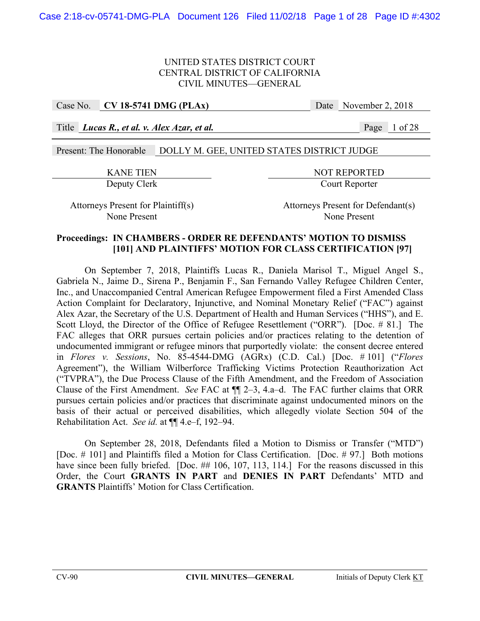Case No. **CV 18-5741 DMG (PLAx)** Date November 2, 2018

Title *Lucas R., et al. v. Alex Azar, et al.* Page 1 of 28

Present: The Honorable DOLLY M. GEE, UNITED STATES DISTRICT JUDGE

KANE TIEN NOT REPORTED Deputy Clerk Court Reporter

Attorneys Present for Plaintiff(s) Attorneys Present for Defendant(s) None Present None Present

#### **Proceedings: IN CHAMBERS - ORDER RE DEFENDANTS' MOTION TO DISMISS [101] AND PLAINTIFFS' MOTION FOR CLASS CERTIFICATION [97]**

 On September 7, 2018, Plaintiffs Lucas R., Daniela Marisol T., Miguel Angel S., Gabriela N., Jaime D., Sirena P., Benjamin F., San Fernando Valley Refugee Children Center, Inc., and Unaccompanied Central American Refugee Empowerment filed a First Amended Class Action Complaint for Declaratory, Injunctive, and Nominal Monetary Relief ("FAC") against Alex Azar, the Secretary of the U.S. Department of Health and Human Services ("HHS"), and E. Scott Lloyd, the Director of the Office of Refugee Resettlement ("ORR"). [Doc. # 81.] The FAC alleges that ORR pursues certain policies and/or practices relating to the detention of undocumented immigrant or refugee minors that purportedly violate: the consent decree entered in *Flores v. Sessions*, No. 85-4544-DMG (AGRx) (C.D. Cal.) [Doc. # 101] ("*Flores*  Agreement"), the William Wilberforce Trafficking Victims Protection Reauthorization Act ("TVPRA"), the Due Process Clause of the Fifth Amendment, and the Freedom of Association Clause of the First Amendment. *See* FAC at ¶¶ 2–3, 4.a–d. The FAC further claims that ORR pursues certain policies and/or practices that discriminate against undocumented minors on the basis of their actual or perceived disabilities, which allegedly violate Section 504 of the Rehabilitation Act. *See id.* at ¶¶ 4.e–f, 192–94.

 On September 28, 2018, Defendants filed a Motion to Dismiss or Transfer ("MTD") [Doc. # 101] and Plaintiffs filed a Motion for Class Certification. [Doc. # 97.] Both motions have since been fully briefed. [Doc. ## 106, 107, 113, 114.] For the reasons discussed in this Order, the Court **GRANTS IN PART** and **DENIES IN PART** Defendants' MTD and **GRANTS** Plaintiffs' Motion for Class Certification.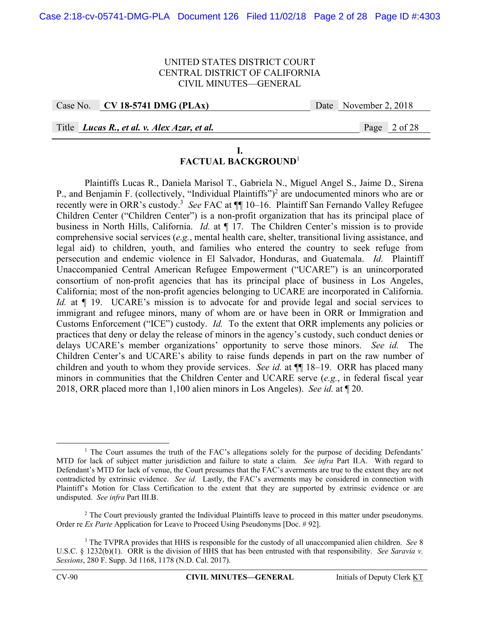Case No. **CV 18-5741 DMG (PLAx)** Date November 2, 2018

Title *Lucas R., et al. v. Alex Azar, et al.* Page 2 of 28

#### **I. FACTUAL BACKGROUND**<sup>1</sup>

 Plaintiffs Lucas R., Daniela Marisol T., Gabriela N., Miguel Angel S., Jaime D., Sirena P., and Benjamin F. (collectively, "Individual Plaintiffs")<sup>2</sup> are undocumented minors who are or recently were in ORR's custody.<sup>3</sup> See FAC at  $\P$  10–16. Plaintiff San Fernando Valley Refugee Children Center ("Children Center") is a non-profit organization that has its principal place of business in North Hills, California. *Id.* at ¶ 17. The Children Center's mission is to provide comprehensive social services (*e.g.*, mental health care, shelter, transitional living assistance, and legal aid) to children, youth, and families who entered the country to seek refuge from persecution and endemic violence in El Salvador, Honduras, and Guatemala. *Id.* Plaintiff Unaccompanied Central American Refugee Empowerment ("UCARE") is an unincorporated consortium of non-profit agencies that has its principal place of business in Los Angeles, California; most of the non-profit agencies belonging to UCARE are incorporated in California. *Id.* at  $\P$  19. UCARE's mission is to advocate for and provide legal and social services to immigrant and refugee minors, many of whom are or have been in ORR or Immigration and Customs Enforcement ("ICE") custody. *Id.* To the extent that ORR implements any policies or practices that deny or delay the release of minors in the agency's custody, such conduct denies or delays UCARE's member organizations' opportunity to serve those minors. *See id.* The Children Center's and UCARE's ability to raise funds depends in part on the raw number of children and youth to whom they provide services. *See id.* at  $\P$  18–19. ORR has placed many minors in communities that the Children Center and UCARE serve (*e.g.*, in federal fiscal year 2018, ORR placed more than 1,100 alien minors in Los Angeles). *See id.* at ¶ 20.

 $\begin{array}{c|c}\n\hline\n\text{1}\n\end{array}$ <sup>1</sup> The Court assumes the truth of the FAC's allegations solely for the purpose of deciding Defendants' MTD for lack of subject matter jurisdiction and failure to state a claim. *See infra* Part II.A. With regard to Defendant's MTD for lack of venue, the Court presumes that the FAC's averments are true to the extent they are not contradicted by extrinsic evidence. *See id.* Lastly, the FAC's averments may be considered in connection with Plaintiff's Motion for Class Certification to the extent that they are supported by extrinsic evidence or are undisputed. *See infra* Part III.B.

<sup>&</sup>lt;sup>2</sup> The Court previously granted the Individual Plaintiffs leave to proceed in this matter under pseudonyms. Order re *Ex Parte* Application for Leave to Proceed Using Pseudonyms [Doc. # 92].

<sup>3</sup> The TVPRA provides that HHS is responsible for the custody of all unaccompanied alien children. *See* 8 U.S.C. § 1232(b)(1). ORR is the division of HHS that has been entrusted with that responsibility. *See Saravia v. Sessions*, 280 F. Supp. 3d 1168, 1178 (N.D. Cal. 2017).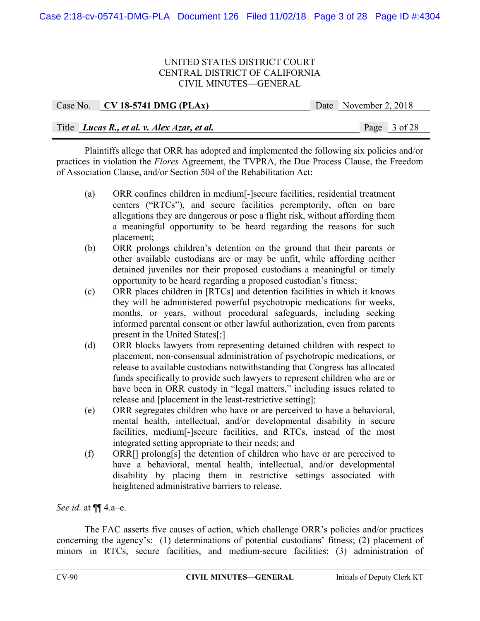|  | Case No. CV 18-5741 DMG (PLAx)              | Date November 2, 2018 |  |
|--|---------------------------------------------|-----------------------|--|
|  |                                             |                       |  |
|  | Title Lucas R., et al. v. Alex Azar, et al. | Page 3 of 28          |  |

 Plaintiffs allege that ORR has adopted and implemented the following six policies and/or practices in violation the *Flores* Agreement, the TVPRA, the Due Process Clause, the Freedom of Association Clause, and/or Section 504 of the Rehabilitation Act:

- (a) ORR confines children in medium[-]secure facilities, residential treatment centers ("RTCs"), and secure facilities peremptorily, often on bare allegations they are dangerous or pose a flight risk, without affording them a meaningful opportunity to be heard regarding the reasons for such placement;
- (b) ORR prolongs children's detention on the ground that their parents or other available custodians are or may be unfit, while affording neither detained juveniles nor their proposed custodians a meaningful or timely opportunity to be heard regarding a proposed custodian's fitness;
- (c) ORR places children in [RTCs] and detention facilities in which it knows they will be administered powerful psychotropic medications for weeks, months, or years, without procedural safeguards, including seeking informed parental consent or other lawful authorization, even from parents present in the United States[;]
- (d) ORR blocks lawyers from representing detained children with respect to placement, non-consensual administration of psychotropic medications, or release to available custodians notwithstanding that Congress has allocated funds specifically to provide such lawyers to represent children who are or have been in ORR custody in "legal matters," including issues related to release and [placement in the least-restrictive setting];
- (e) ORR segregates children who have or are perceived to have a behavioral, mental health, intellectual, and/or developmental disability in secure facilities, medium[-]secure facilities, and RTCs, instead of the most integrated setting appropriate to their needs; and
- (f) ORR[] prolong[s] the detention of children who have or are perceived to have a behavioral, mental health, intellectual, and/or developmental disability by placing them in restrictive settings associated with heightened administrative barriers to release.

*See id.* at ¶¶ 4.a–e.

 The FAC asserts five causes of action, which challenge ORR's policies and/or practices concerning the agency's: (1) determinations of potential custodians' fitness; (2) placement of minors in RTCs, secure facilities, and medium-secure facilities; (3) administration of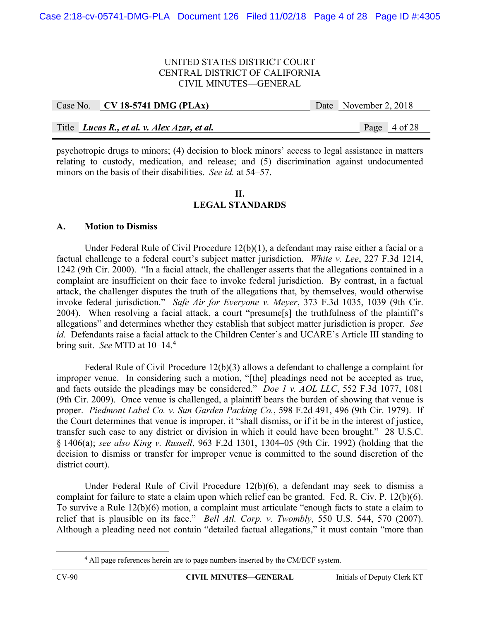|  | Case No. CV 18-5741 DMG (PLAx)                     | Date November 2, 2018 |              |
|--|----------------------------------------------------|-----------------------|--------------|
|  |                                                    |                       |              |
|  | Title <i>Lucas R., et al. v. Alex Azar, et al.</i> |                       | Page 4 of 28 |

psychotropic drugs to minors; (4) decision to block minors' access to legal assistance in matters relating to custody, medication, and release; and (5) discrimination against undocumented minors on the basis of their disabilities. *See id.* at 54–57.

#### **II. LEGAL STANDARDS**

## **A. Motion to Dismiss**

Under Federal Rule of Civil Procedure 12(b)(1), a defendant may raise either a facial or a factual challenge to a federal court's subject matter jurisdiction. *White v. Lee*, 227 F.3d 1214, 1242 (9th Cir. 2000). "In a facial attack, the challenger asserts that the allegations contained in a complaint are insufficient on their face to invoke federal jurisdiction. By contrast, in a factual attack, the challenger disputes the truth of the allegations that, by themselves, would otherwise invoke federal jurisdiction." *Safe Air for Everyone v. Meyer*, 373 F.3d 1035, 1039 (9th Cir. 2004). When resolving a facial attack, a court "presume[s] the truthfulness of the plaintiff's allegations" and determines whether they establish that subject matter jurisdiction is proper. *See id.* Defendants raise a facial attack to the Children Center's and UCARE's Article III standing to bring suit. *See* MTD at 10–14.4

Federal Rule of Civil Procedure 12(b)(3) allows a defendant to challenge a complaint for improper venue. In considering such a motion, "[the] pleadings need not be accepted as true, and facts outside the pleadings may be considered." *Doe 1 v. AOL LLC*, 552 F.3d 1077, 1081 (9th Cir. 2009). Once venue is challenged, a plaintiff bears the burden of showing that venue is proper. *Piedmont Label Co. v. Sun Garden Packing Co.*, 598 F.2d 491, 496 (9th Cir. 1979). If the Court determines that venue is improper, it "shall dismiss, or if it be in the interest of justice, transfer such case to any district or division in which it could have been brought." 28 U.S.C. § 1406(a); *see also King v. Russell*, 963 F.2d 1301, 1304–05 (9th Cir. 1992) (holding that the decision to dismiss or transfer for improper venue is committed to the sound discretion of the district court).

 Under Federal Rule of Civil Procedure 12(b)(6), a defendant may seek to dismiss a complaint for failure to state a claim upon which relief can be granted. Fed. R. Civ. P. 12(b)(6). To survive a Rule 12(b)(6) motion, a complaint must articulate "enough facts to state a claim to relief that is plausible on its face." *Bell Atl. Corp. v. Twombly*, 550 U.S. 544, 570 (2007). Although a pleading need not contain "detailed factual allegations," it must contain "more than

 $\overline{a}$ <sup>4</sup> All page references herein are to page numbers inserted by the CM/ECF system.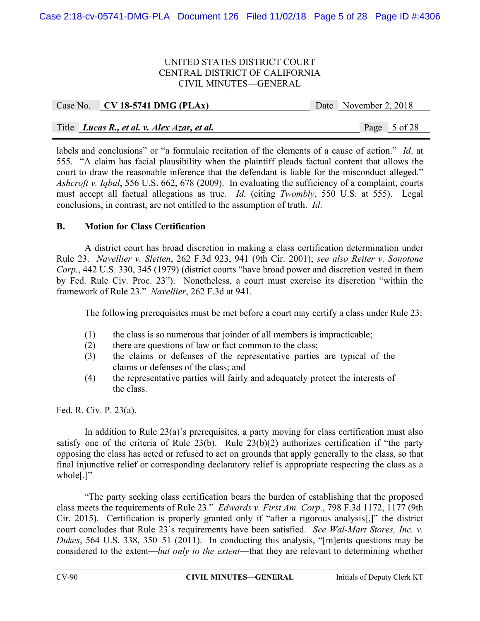| Case No. CV 18-5741 DMG (PLAx)              |  | Date November 2, 2018 |
|---------------------------------------------|--|-----------------------|
|                                             |  |                       |
| Title Lucas R., et al. v. Alex Azar, et al. |  | Page 5 of 28          |

labels and conclusions" or "a formulaic recitation of the elements of a cause of action." *Id*. at 555. "A claim has facial plausibility when the plaintiff pleads factual content that allows the court to draw the reasonable inference that the defendant is liable for the misconduct alleged." *Ashcroft v. Iqbal*, 556 U.S. 662, 678 (2009). In evaluating the sufficiency of a complaint, courts must accept all factual allegations as true. *Id.* (citing *Twombly*, 550 U.S. at 555). Legal conclusions, in contrast, are not entitled to the assumption of truth. *Id*.

## **B. Motion for Class Certification**

A district court has broad discretion in making a class certification determination under Rule 23. *Navellier v. Sletten*, 262 F.3d 923, 941 (9th Cir. 2001); *see also Reiter v. Sonotone Corp.*, 442 U.S. 330, 345 (1979) (district courts "have broad power and discretion vested in them by Fed. Rule Civ. Proc. 23"). Nonetheless, a court must exercise its discretion "within the framework of Rule 23." *Navellier*, 262 F.3d at 941.

The following prerequisites must be met before a court may certify a class under Rule 23:

- (1) the class is so numerous that joinder of all members is impracticable;
- (2) there are questions of law or fact common to the class;
- (3) the claims or defenses of the representative parties are typical of the claims or defenses of the class; and
- (4) the representative parties will fairly and adequately protect the interests of the class.

Fed. R. Civ. P. 23(a).

In addition to Rule 23(a)'s prerequisites, a party moving for class certification must also satisfy one of the criteria of Rule 23(b). Rule 23(b)(2) authorizes certification if "the party opposing the class has acted or refused to act on grounds that apply generally to the class, so that final injunctive relief or corresponding declaratory relief is appropriate respecting the class as a whole[.]"

 "The party seeking class certification bears the burden of establishing that the proposed class meets the requirements of Rule 23." *Edwards v. First Am. Corp.*, 798 F.3d 1172, 1177 (9th Cir. 2015). Certification is properly granted only if "after a rigorous analysis[,]" the district court concludes that Rule 23's requirements have been satisfied. *See Wal-Mart Stores, Inc. v. Dukes*, 564 U.S. 338, 350–51 (2011). In conducting this analysis, "[m]erits questions may be considered to the extent—*but only to the extent*—that they are relevant to determining whether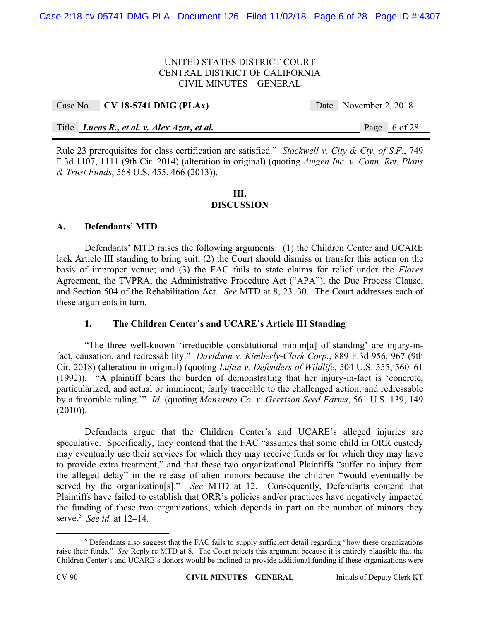| Case No. CV 18-5741 DMG (PLAx)              | Date November 2, 2018 |  |
|---------------------------------------------|-----------------------|--|
|                                             |                       |  |
| Title Lucas R., et al. v. Alex Azar, et al. | Page 6 of 28          |  |

Rule 23 prerequisites for class certification are satisfied." *Stockwell v. City & Cty. of S.F.*, 749 F.3d 1107, 1111 (9th Cir. 2014) (alteration in original) (quoting *Amgen Inc. v. Conn. Ret. Plans & Trust Funds*, 568 U.S. 455, 466 (2013)).

#### **III. DISCUSSION**

# **A. Defendants' MTD**

Defendants' MTD raises the following arguments: (1) the Children Center and UCARE lack Article III standing to bring suit; (2) the Court should dismiss or transfer this action on the basis of improper venue; and (3) the FAC fails to state claims for relief under the *Flores* Agreement, the TVPRA, the Administrative Procedure Act ("APA"), the Due Process Clause, and Section 504 of the Rehabilitation Act. *See* MTD at 8, 23–30. The Court addresses each of these arguments in turn.

## **1. The Children Center's and UCARE's Article III Standing**

"The three well-known 'irreducible constitutional minim[a] of standing' are injury-infact, causation, and redressability." *Davidson v. Kimberly-Clark Corp.*, 889 F.3d 956, 967 (9th Cir. 2018) (alteration in original) (quoting *Lujan v. Defenders of Wildlife*, 504 U.S. 555, 560–61 (1992)). "A plaintiff bears the burden of demonstrating that her injury-in-fact is 'concrete, particularized, and actual or imminent; fairly traceable to the challenged action; and redressable by a favorable ruling.'" *Id.* (quoting *Monsanto Co. v. Geertson Seed Farms*, 561 U.S. 139, 149 (2010)).

 Defendants argue that the Children Center's and UCARE's alleged injuries are speculative. Specifically, they contend that the FAC "assumes that some child in ORR custody may eventually use their services for which they may receive funds or for which they may have to provide extra treatment," and that these two organizational Plaintiffs "suffer no injury from the alleged delay" in the release of alien minors because the children "would eventually be served by the organization[s]." *See* MTD at 12. Consequently, Defendants contend that Plaintiffs have failed to establish that ORR's policies and/or practices have negatively impacted the funding of these two organizations, which depends in part on the number of minors they serve.5 *See id.* at 12–14.

 $rac{1}{5}$  $<sup>5</sup>$  Defendants also suggest that the FAC fails to supply sufficient detail regarding "how these organizations"</sup> raise their funds." *See* Reply re MTD at 8. The Court rejects this argument because it is entirely plausible that the Children Center's and UCARE's donors would be inclined to provide additional funding if these organizations were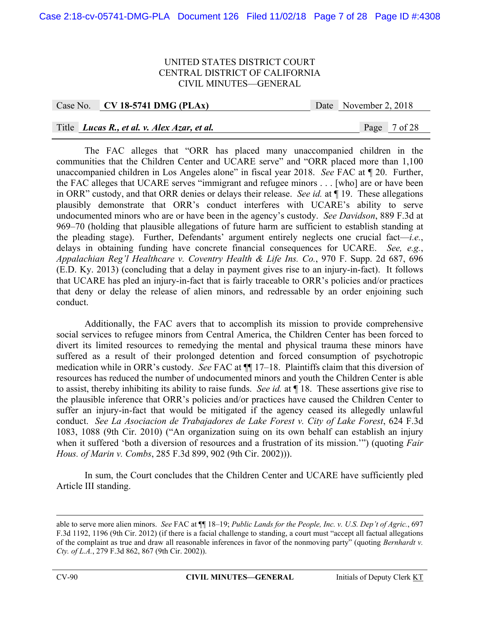## Case No. **CV 18-5741 DMG (PLAx)** Date November 2, 2018

## Title *Lucas R., et al. v. Alex Azar, et al.* Page 7 of 28

The FAC alleges that "ORR has placed many unaccompanied children in the communities that the Children Center and UCARE serve" and "ORR placed more than 1,100 unaccompanied children in Los Angeles alone" in fiscal year 2018. *See* FAC at ¶ 20. Further, the FAC alleges that UCARE serves "immigrant and refugee minors . . . [who] are or have been in ORR" custody, and that ORR denies or delays their release. *See id.* at ¶ 19. These allegations plausibly demonstrate that ORR's conduct interferes with UCARE's ability to serve undocumented minors who are or have been in the agency's custody. *See Davidson*, 889 F.3d at 969–70 (holding that plausible allegations of future harm are sufficient to establish standing at the pleading stage). Further, Defendants' argument entirely neglects one crucial fact—*i.e.*, delays in obtaining funding have concrete financial consequences for UCARE. *See, e.g.*, *Appalachian Reg'l Healthcare v. Coventry Health & Life Ins. Co.*, 970 F. Supp. 2d 687, 696 (E.D. Ky. 2013) (concluding that a delay in payment gives rise to an injury-in-fact). It follows that UCARE has pled an injury-in-fact that is fairly traceable to ORR's policies and/or practices that deny or delay the release of alien minors, and redressable by an order enjoining such conduct.

Additionally, the FAC avers that to accomplish its mission to provide comprehensive social services to refugee minors from Central America, the Children Center has been forced to divert its limited resources to remedying the mental and physical trauma these minors have suffered as a result of their prolonged detention and forced consumption of psychotropic medication while in ORR's custody. *See* FAC at ¶¶ 17–18. Plaintiffs claim that this diversion of resources has reduced the number of undocumented minors and youth the Children Center is able to assist, thereby inhibiting its ability to raise funds. *See id.* at ¶ 18. These assertions give rise to the plausible inference that ORR's policies and/or practices have caused the Children Center to suffer an injury-in-fact that would be mitigated if the agency ceased its allegedly unlawful conduct. *See La Asociacion de Trabajadores de Lake Forest v. City of Lake Forest*, 624 F.3d 1083, 1088 (9th Cir. 2010) ("An organization suing on its own behalf can establish an injury when it suffered 'both a diversion of resources and a frustration of its mission.'") (quoting *Fair Hous. of Marin v. Combs*, 285 F.3d 899, 902 (9th Cir. 2002))).

In sum, the Court concludes that the Children Center and UCARE have sufficiently pled Article III standing.

able to serve more alien minors. *See* FAC at ¶¶ 18–19; *Public Lands for the People, Inc. v. U.S. Dep't of Agric.*, 697 F.3d 1192, 1196 (9th Cir. 2012) (if there is a facial challenge to standing, a court must "accept all factual allegations of the complaint as true and draw all reasonable inferences in favor of the nonmoving party" (quoting *Bernhardt v. Cty. of L.A.*, 279 F.3d 862, 867 (9th Cir. 2002)).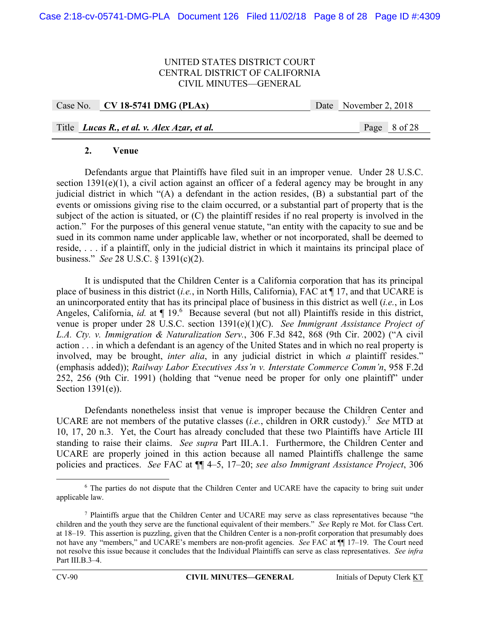|  | Case No. CV 18-5741 DMG (PLAx)                     | Date November 2, 2018 |
|--|----------------------------------------------------|-----------------------|
|  |                                                    |                       |
|  | Title <i>Lucas R., et al. v. Alex Azar, et al.</i> | Page 8 of 28          |

## **2. Venue**

Defendants argue that Plaintiffs have filed suit in an improper venue. Under 28 U.S.C. section 1391(e)(1), a civil action against an officer of a federal agency may be brought in any judicial district in which "(A) a defendant in the action resides, (B) a substantial part of the events or omissions giving rise to the claim occurred, or a substantial part of property that is the subject of the action is situated, or (C) the plaintiff resides if no real property is involved in the action." For the purposes of this general venue statute, "an entity with the capacity to sue and be sued in its common name under applicable law, whether or not incorporated, shall be deemed to reside, . . . if a plaintiff, only in the judicial district in which it maintains its principal place of business." *See* 28 U.S.C. § 1391(c)(2).

It is undisputed that the Children Center is a California corporation that has its principal place of business in this district (*i.e.*, in North Hills, California), FAC at ¶ 17, and that UCARE is an unincorporated entity that has its principal place of business in this district as well (*i.e.*, in Los Angeles, California, *id.* at  $\P$  19.<sup>6</sup> Because several (but not all) Plaintiffs reside in this district, venue is proper under 28 U.S.C. section 1391(e)(1)(C). *See Immigrant Assistance Project of L.A. Cty. v. Immigration & Naturalization Serv.*, 306 F.3d 842, 868 (9th Cir. 2002) ("A civil action . . . in which a defendant is an agency of the United States and in which no real property is involved, may be brought, *inter alia*, in any judicial district in which *a* plaintiff resides." (emphasis added)); *Railway Labor Executives Ass'n v. Interstate Commerce Comm'n*, 958 F.2d 252, 256 (9th Cir. 1991) (holding that "venue need be proper for only one plaintiff" under Section 1391(e)).

Defendants nonetheless insist that venue is improper because the Children Center and UCARE are not members of the putative classes (*i.e.*, children in ORR custody).7 *See* MTD at 10, 17, 20 n.3. Yet, the Court has already concluded that these two Plaintiffs have Article III standing to raise their claims. *See supra* Part III.A.1. Furthermore, the Children Center and UCARE are properly joined in this action because all named Plaintiffs challenge the same policies and practices. *See* FAC at ¶¶ 4–5, 17–20; *see also Immigrant Assistance Project*, 306

 <sup>6</sup> <sup>6</sup> The parties do not dispute that the Children Center and UCARE have the capacity to bring suit under applicable law.

<sup>7</sup> Plaintiffs argue that the Children Center and UCARE may serve as class representatives because "the children and the youth they serve are the functional equivalent of their members." *See* Reply re Mot. for Class Cert. at 18–19. This assertion is puzzling, given that the Children Center is a non-profit corporation that presumably does not have any "members," and UCARE's members are non-profit agencies. *See* FAC at ¶¶ 17–19. The Court need not resolve this issue because it concludes that the Individual Plaintiffs can serve as class representatives. *See infra* Part III.B.3–4.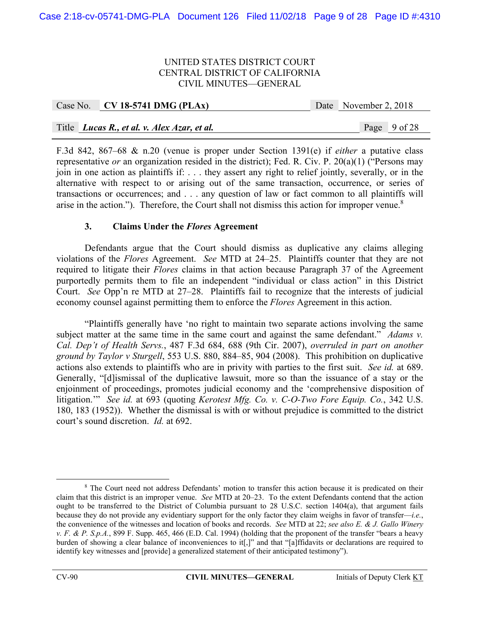|  | Case No. CV 18-5741 DMG (PLAx)                     |  | Date November 2, 2018 |              |
|--|----------------------------------------------------|--|-----------------------|--------------|
|  |                                                    |  |                       |              |
|  | Title <i>Lucas R., et al. v. Alex Azar, et al.</i> |  |                       | Page 9 of 28 |

F.3d 842, 867–68 & n.20 (venue is proper under Section 1391(e) if *either* a putative class representative *or* an organization resided in the district); Fed. R. Civ. P. 20(a)(1) ("Persons may join in one action as plaintiffs if: . . . they assert any right to relief jointly, severally, or in the alternative with respect to or arising out of the same transaction, occurrence, or series of transactions or occurrences; and . . . any question of law or fact common to all plaintiffs will arise in the action."). Therefore, the Court shall not dismiss this action for improper venue.<sup>8</sup>

## **3. Claims Under the** *Flores* **Agreement**

Defendants argue that the Court should dismiss as duplicative any claims alleging violations of the *Flores* Agreement. *See* MTD at 24–25. Plaintiffs counter that they are not required to litigate their *Flores* claims in that action because Paragraph 37 of the Agreement purportedly permits them to file an independent "individual or class action" in this District Court. *See* Opp'n re MTD at 27–28. Plaintiffs fail to recognize that the interests of judicial economy counsel against permitting them to enforce the *Flores* Agreement in this action.

"Plaintiffs generally have 'no right to maintain two separate actions involving the same subject matter at the same time in the same court and against the same defendant." *Adams v. Cal. Dep't of Health Servs.*, 487 F.3d 684, 688 (9th Cir. 2007), *overruled in part on another ground by Taylor v Sturgell*, 553 U.S. 880, 884–85, 904 (2008). This prohibition on duplicative actions also extends to plaintiffs who are in privity with parties to the first suit. *See id.* at 689. Generally, "[d]ismissal of the duplicative lawsuit, more so than the issuance of a stay or the enjoinment of proceedings, promotes judicial economy and the 'comprehensive disposition of litigation.'" *See id.* at 693 (quoting *Kerotest Mfg. Co. v. C-O-Two Fore Equip. Co.*, 342 U.S. 180, 183 (1952)). Whether the dismissal is with or without prejudice is committed to the district court's sound discretion. *Id.* at 692.

 $\frac{1}{\sqrt{8}}$ <sup>8</sup> The Court need not address Defendants' motion to transfer this action because it is predicated on their claim that this district is an improper venue. *See* MTD at 20–23. To the extent Defendants contend that the action ought to be transferred to the District of Columbia pursuant to 28 U.S.C. section 1404(a), that argument fails because they do not provide any evidentiary support for the only factor they claim weighs in favor of transfer—*i.e.*, the convenience of the witnesses and location of books and records. *See* MTD at 22; *see also E. & J. Gallo Winery v. F. & P. S.p.A.*, 899 F. Supp. 465, 466 (E.D. Cal. 1994) (holding that the proponent of the transfer "bears a heavy burden of showing a clear balance of inconveniences to it[,]" and that "[a]ffidavits or declarations are required to identify key witnesses and [provide] a generalized statement of their anticipated testimony").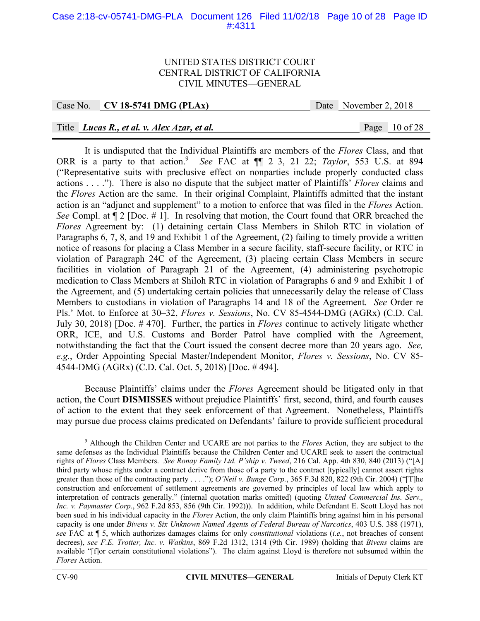## Case 2:18-cv-05741-DMG-PLA Document 126 Filed 11/02/18 Page 10 of 28 Page ID #:4311

#### UNITED STATES DISTRICT COURT CENTRAL DISTRICT OF CALIFORNIA CIVIL MINUTES—GENERAL

## Case No. **CV 18-5741 DMG (PLAx)** Date November 2, 2018

## Title *Lucas R., et al. v. Alex Azar, et al.* Page 10 of 28

It is undisputed that the Individual Plaintiffs are members of the *Flores* Class, and that ORR is a party to that action.<sup>9</sup> See FAC at  $\P$  2–3, 21–22; *Taylor*, 553 U.S. at 894 ("Representative suits with preclusive effect on nonparties include properly conducted class actions . . . ."). There is also no dispute that the subject matter of Plaintiffs' *Flores* claims and the *Flores* Action are the same. In their original Complaint, Plaintiffs admitted that the instant action is an "adjunct and supplement" to a motion to enforce that was filed in the *Flores* Action. *See* Compl. at  $\P$  2 [Doc. # 1]. In resolving that motion, the Court found that ORR breached the *Flores* Agreement by: (1) detaining certain Class Members in Shiloh RTC in violation of Paragraphs 6, 7, 8, and 19 and Exhibit 1 of the Agreement, (2) failing to timely provide a written notice of reasons for placing a Class Member in a secure facility, staff-secure facility, or RTC in violation of Paragraph 24C of the Agreement, (3) placing certain Class Members in secure facilities in violation of Paragraph 21 of the Agreement, (4) administering psychotropic medication to Class Members at Shiloh RTC in violation of Paragraphs 6 and 9 and Exhibit 1 of the Agreement, and (5) undertaking certain policies that unnecessarily delay the release of Class Members to custodians in violation of Paragraphs 14 and 18 of the Agreement. *See* Order re Pls.' Mot. to Enforce at 30–32, *Flores v. Sessions*, No. CV 85-4544-DMG (AGRx) (C.D. Cal. July 30, 2018) [Doc. # 470]. Further, the parties in *Flores* continue to actively litigate whether ORR, ICE, and U.S. Customs and Border Patrol have complied with the Agreement, notwithstanding the fact that the Court issued the consent decree more than 20 years ago. *See, e.g.*, Order Appointing Special Master/Independent Monitor, *Flores v. Sessions*, No. CV 85- 4544-DMG (AGRx) (C.D. Cal. Oct. 5, 2018) [Doc. # 494].

Because Plaintiffs' claims under the *Flores* Agreement should be litigated only in that action, the Court **DISMISSES** without prejudice Plaintiffs' first, second, third, and fourth causes of action to the extent that they seek enforcement of that Agreement. Nonetheless, Plaintiffs may pursue due process claims predicated on Defendants' failure to provide sufficient procedural

 <sup>9</sup> Although the Children Center and UCARE are not parties to the *Flores* Action, they are subject to the same defenses as the Individual Plaintiffs because the Children Center and UCARE seek to assert the contractual rights of *Flores* Class Members. *See Ronay Family Ltd. P'ship v. Tweed*, 216 Cal. App. 4th 830, 840 (2013) ("[A] third party whose rights under a contract derive from those of a party to the contract [typically] cannot assert rights greater than those of the contracting party . . . ."); *O'Neil v. Bunge Corp.*, 365 F.3d 820, 822 (9th Cir. 2004) ("[T]he construction and enforcement of settlement agreements are governed by principles of local law which apply to interpretation of contracts generally." (internal quotation marks omitted) (quoting *United Commercial Ins. Serv., Inc. v. Paymaster Corp.*, 962 F.2d 853, 856 (9th Cir. 1992))). In addition, while Defendant E. Scott Lloyd has not been sued in his individual capacity in the *Flores* Action, the only claim Plaintiffs bring against him in his personal capacity is one under *Bivens v. Six Unknown Named Agents of Federal Bureau of Narcotics*, 403 U.S. 388 (1971), *see* FAC at ¶ 5, which authorizes damages claims for only *constitutional* violations (*i.e.*, not breaches of consent decrees), *see F.E. Trotter, Inc. v. Watkins*, 869 F.2d 1312, 1314 (9th Cir. 1989) (holding that *Bivens* claims are available "[f]or certain constitutional violations"). The claim against Lloyd is therefore not subsumed within the *Flores* Action.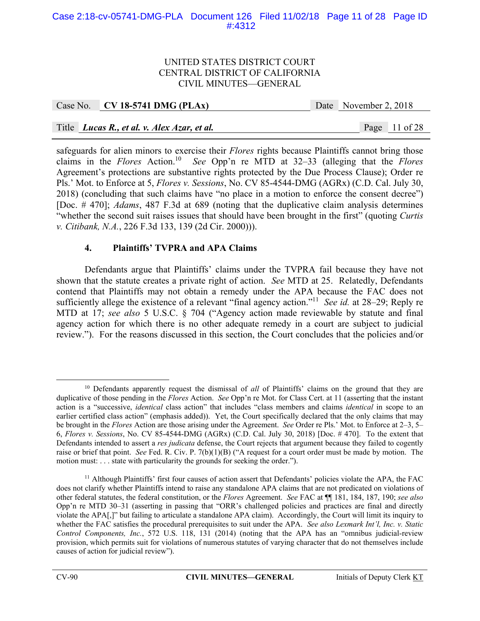## Case 2:18-cv-05741-DMG-PLA Document 126 Filed 11/02/18 Page 11 of 28 Page ID #:4312

#### UNITED STATES DISTRICT COURT CENTRAL DISTRICT OF CALIFORNIA CIVIL MINUTES—GENERAL

## Case No. **CV 18-5741 DMG (PLAx)** Date November 2, 2018

## Title *Lucas R., et al. v. Alex Azar, et al.* Page 11 of 28

safeguards for alien minors to exercise their *Flores* rights because Plaintiffs cannot bring those claims in the *Flores* Action.10 *See* Opp'n re MTD at 32–33 (alleging that the *Flores* Agreement's protections are substantive rights protected by the Due Process Clause); Order re Pls.' Mot. to Enforce at 5, *Flores v. Sessions*, No. CV 85-4544-DMG (AGRx) (C.D. Cal. July 30, 2018) (concluding that such claims have "no place in a motion to enforce the consent decree") [Doc. # 470]; *Adams*, 487 F.3d at 689 (noting that the duplicative claim analysis determines "whether the second suit raises issues that should have been brought in the first" (quoting *Curtis v. Citibank, N.A.*, 226 F.3d 133, 139 (2d Cir. 2000))).

## **4. Plaintiffs' TVPRA and APA Claims**

 Defendants argue that Plaintiffs' claims under the TVPRA fail because they have not shown that the statute creates a private right of action. *See* MTD at 25. Relatedly, Defendants contend that Plaintiffs may not obtain a remedy under the APA because the FAC does not sufficiently allege the existence of a relevant "final agency action."11 *See id.* at 28–29; Reply re MTD at 17; *see also* 5 U.S.C. § 704 ("Agency action made reviewable by statute and final agency action for which there is no other adequate remedy in a court are subject to judicial review."). For the reasons discussed in this section, the Court concludes that the policies and/or

<sup>&</sup>lt;sup>10</sup> Defendants apparently request the dismissal of *all* of Plaintiffs' claims on the ground that they are duplicative of those pending in the *Flores* Action. *See* Opp'n re Mot. for Class Cert. at 11 (asserting that the instant action is a "successive, *identical* class action" that includes "class members and claims *identical* in scope to an earlier certified class action" (emphasis added)). Yet, the Court specifically declared that the only claims that may be brought in the *Flores* Action are those arising under the Agreement. *See* Order re Pls.' Mot. to Enforce at 2–3, 5– 6, *Flores v. Sessions*, No. CV 85-4544-DMG (AGRx) (C.D. Cal. July 30, 2018) [Doc. # 470]. To the extent that Defendants intended to assert a *res judicata* defense, the Court rejects that argument because they failed to cogently raise or brief that point. *See* Fed. R. Civ. P. 7(b)(1)(B) ("A request for a court order must be made by motion. The motion must: . . . state with particularity the grounds for seeking the order.").

<sup>&</sup>lt;sup>11</sup> Although Plaintiffs' first four causes of action assert that Defendants' policies violate the APA, the FAC does not clarify whether Plaintiffs intend to raise any standalone APA claims that are not predicated on violations of other federal statutes, the federal constitution, or the *Flores* Agreement. *See* FAC at ¶¶ 181, 184, 187, 190; *see also* Opp'n re MTD 30–31 (asserting in passing that "ORR's challenged policies and practices are final and directly violate the APA[,]" but failing to articulate a standalone APA claim). Accordingly, the Court will limit its inquiry to whether the FAC satisfies the procedural prerequisites to suit under the APA. *See also Lexmark Int'l, Inc. v. Static Control Components, Inc.*, 572 U.S. 118, 131 (2014) (noting that the APA has an "omnibus judicial-review provision, which permits suit for violations of numerous statutes of varying character that do not themselves include causes of action for judicial review").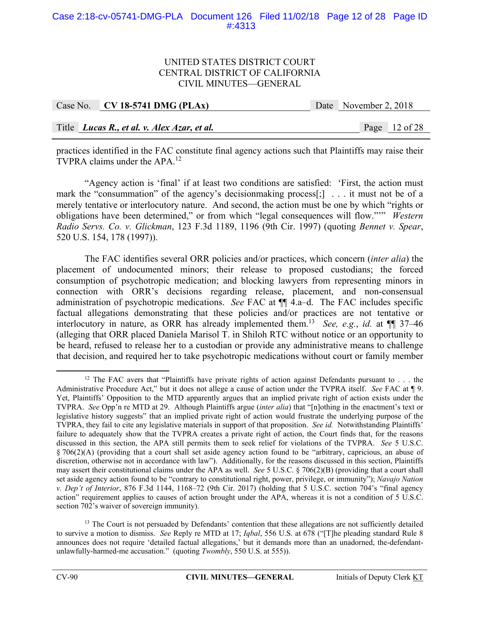## Case 2:18-cv-05741-DMG-PLA Document 126 Filed 11/02/18 Page 12 of 28 Page ID #:4313

#### UNITED STATES DISTRICT COURT CENTRAL DISTRICT OF CALIFORNIA CIVIL MINUTES—GENERAL

| Case No. CV 18-5741 DMG (PLAx)                     | Date November 2, 2018 |                 |
|----------------------------------------------------|-----------------------|-----------------|
|                                                    |                       |                 |
| Title <i>Lucas R., et al. v. Alex Azar, et al.</i> |                       | Page $12$ of 28 |

practices identified in the FAC constitute final agency actions such that Plaintiffs may raise their TVPRA claims under the APA.<sup>12</sup>

 "Agency action is 'final' if at least two conditions are satisfied: 'First, the action must mark the "consummation" of the agency's decisionmaking process[;] . . . it must not be of a merely tentative or interlocutory nature. And second, the action must be one by which "rights or obligations have been determined," or from which "legal consequences will flow."'" *Western Radio Servs. Co. v. Glickman*, 123 F.3d 1189, 1196 (9th Cir. 1997) (quoting *Bennet v. Spear*, 520 U.S. 154, 178 (1997)).

The FAC identifies several ORR policies and/or practices, which concern (*inter alia*) the placement of undocumented minors; their release to proposed custodians; the forced consumption of psychotropic medication; and blocking lawyers from representing minors in connection with ORR's decisions regarding release, placement, and non-consensual administration of psychotropic medications. *See* FAC at  $\P\P$  4.a–d. The FAC includes specific factual allegations demonstrating that these policies and/or practices are not tentative or interlocutory in nature, as ORR has already implemented them.13 *See, e.g.*, *id.* at ¶¶ 37–46 (alleging that ORR placed Daniela Marisol T. in Shiloh RTC without notice or an opportunity to be heard, refused to release her to a custodian or provide any administrative means to challenge that decision, and required her to take psychotropic medications without court or family member

<sup>&</sup>lt;sup>12</sup> The FAC avers that "Plaintiffs have private rights of action against Defendants pursuant to  $\dots$  the Administrative Procedure Act," but it does not allege a cause of action under the TVPRA itself. *See* FAC at ¶ 9. Yet, Plaintiffs' Opposition to the MTD apparently argues that an implied private right of action exists under the TVPRA. *See* Opp'n re MTD at 29. Although Plaintiffs argue (*inter alia*) that "[n]othing in the enactment's text or legislative history suggests" that an implied private right of action would frustrate the underlying purpose of the TVPRA, they fail to cite any legislative materials in support of that proposition. *See id.* Notwithstanding Plaintiffs' failure to adequately show that the TVPRA creates a private right of action, the Court finds that, for the reasons discussed in this section, the APA still permits them to seek relief for violations of the TVPRA. *See* 5 U.S.C. § 706(2)(A) (providing that a court shall set aside agency action found to be "arbitrary, capricious, an abuse of discretion, otherwise not in accordance with law"). Additionally, for the reasons discussed in this section, Plaintiffs may assert their constitutional claims under the APA as well. *See* 5 U.S.C. § 706(2)(B) (providing that a court shall set aside agency action found to be "contrary to constitutional right, power, privilege, or immunity"); *Navajo Nation v. Dep't of Interior*, 876 F.3d 1144, 1168–72 (9th Cir. 2017) (holding that 5 U.S.C. section 704's "final agency action" requirement applies to causes of action brought under the APA, whereas it is not a condition of 5 U.S.C. section 702's waiver of sovereign immunity).

<sup>&</sup>lt;sup>13</sup> The Court is not persuaded by Defendants' contention that these allegations are not sufficiently detailed to survive a motion to dismiss. *See* Reply re MTD at 17; *Iqbal*, 556 U.S. at 678 ("[T]he pleading standard Rule 8 announces does not require 'detailed factual allegations,' but it demands more than an unadorned, the-defendantunlawfully-harmed-me accusation." (quoting *Twombly*, 550 U.S. at 555)).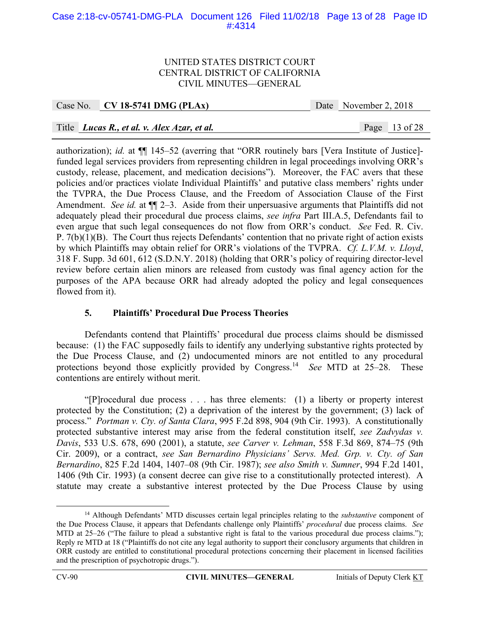## Case 2:18-cv-05741-DMG-PLA Document 126 Filed 11/02/18 Page 13 of 28 Page ID #:4314

#### UNITED STATES DISTRICT COURT CENTRAL DISTRICT OF CALIFORNIA CIVIL MINUTES—GENERAL

## Case No. **CV 18-5741 DMG (PLAx)** Date November 2, 2018

## Title *Lucas R., et al. v. Alex Azar, et al.* Page 13 of 28

authorization); *id.* at ¶¶ 145–52 (averring that "ORR routinely bars [Vera Institute of Justice] funded legal services providers from representing children in legal proceedings involving ORR's custody, release, placement, and medication decisions"). Moreover, the FAC avers that these policies and/or practices violate Individual Plaintiffs' and putative class members' rights under the TVPRA, the Due Process Clause, and the Freedom of Association Clause of the First Amendment. *See id.* at  $\P$  2–3. Aside from their unpersuasive arguments that Plaintiffs did not adequately plead their procedural due process claims, *see infra* Part III.A.5, Defendants fail to even argue that such legal consequences do not flow from ORR's conduct. *See* Fed. R. Civ. P. 7(b)(1)(B). The Court thus rejects Defendants' contention that no private right of action exists by which Plaintiffs may obtain relief for ORR's violations of the TVPRA. *Cf. L.V.M. v. Lloyd*, 318 F. Supp. 3d 601, 612 (S.D.N.Y. 2018) (holding that ORR's policy of requiring director-level review before certain alien minors are released from custody was final agency action for the purposes of the APA because ORR had already adopted the policy and legal consequences flowed from it).

## **5. Plaintiffs' Procedural Due Process Theories**

 Defendants contend that Plaintiffs' procedural due process claims should be dismissed because: (1) the FAC supposedly fails to identify any underlying substantive rights protected by the Due Process Clause, and (2) undocumented minors are not entitled to any procedural protections beyond those explicitly provided by Congress.14 *See* MTD at 25–28. These contentions are entirely without merit.

 "[P]rocedural due process . . . has three elements: (1) a liberty or property interest protected by the Constitution; (2) a deprivation of the interest by the government; (3) lack of process." *Portman v. Cty. of Santa Clara*, 995 F.2d 898, 904 (9th Cir. 1993). A constitutionally protected substantive interest may arise from the federal constitution itself, *see Zadvydas v. Davis*, 533 U.S. 678, 690 (2001), a statute, *see Carver v. Lehman*, 558 F.3d 869, 874–75 (9th Cir. 2009), or a contract, *see San Bernardino Physicians' Servs. Med. Grp. v. Cty. of San Bernardino*, 825 F.2d 1404, 1407–08 (9th Cir. 1987); *see also Smith v. Sumner*, 994 F.2d 1401, 1406 (9th Cir. 1993) (a consent decree can give rise to a constitutionally protected interest). A statute may create a substantive interest protected by the Due Process Clause by using

 <sup>14</sup> Although Defendants' MTD discusses certain legal principles relating to the *substantive* component of the Due Process Clause, it appears that Defendants challenge only Plaintiffs' *procedural* due process claims. *See*  MTD at 25–26 ("The failure to plead a substantive right is fatal to the various procedural due process claims."); Reply re MTD at 18 ("Plaintiffs do not cite any legal authority to support their conclusory arguments that children in ORR custody are entitled to constitutional procedural protections concerning their placement in licensed facilities and the prescription of psychotropic drugs.").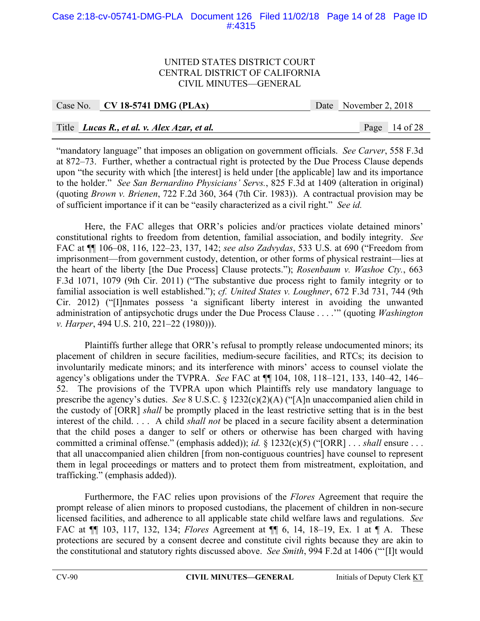## Case 2:18-cv-05741-DMG-PLA Document 126 Filed 11/02/18 Page 14 of 28 Page ID #:4315

#### UNITED STATES DISTRICT COURT CENTRAL DISTRICT OF CALIFORNIA CIVIL MINUTES—GENERAL

## Case No. **CV 18-5741 DMG (PLAx)** Date November 2, 2018

## Title *Lucas R., et al. v. Alex Azar, et al.* Page 14 of 28

"mandatory language" that imposes an obligation on government officials. *See Carver*, 558 F.3d at 872–73. Further, whether a contractual right is protected by the Due Process Clause depends upon "the security with which [the interest] is held under [the applicable] law and its importance to the holder." *See San Bernardino Physicians' Servs.*, 825 F.3d at 1409 (alteration in original) (quoting *Brown v. Brienen*, 722 F.2d 360, 364 (7th Cir. 1983)). A contractual provision may be of sufficient importance if it can be "easily characterized as a civil right." *See id.*

Here, the FAC alleges that ORR's policies and/or practices violate detained minors' constitutional rights to freedom from detention, familial association, and bodily integrity. *See* FAC at ¶¶ 106–08, 116, 122–23, 137, 142; *see also Zadvydas*, 533 U.S. at 690 ("Freedom from imprisonment—from government custody, detention, or other forms of physical restraint—lies at the heart of the liberty [the Due Process] Clause protects."); *Rosenbaum v. Washoe Cty.*, 663 F.3d 1071, 1079 (9th Cir. 2011) ("The substantive due process right to family integrity or to familial association is well established."); *cf. United States v. Loughner*, 672 F.3d 731, 744 (9th Cir. 2012) ("[I]nmates possess 'a significant liberty interest in avoiding the unwanted administration of antipsychotic drugs under the Due Process Clause . . . .'" (quoting *Washington v. Harper*, 494 U.S. 210, 221–22 (1980))).

Plaintiffs further allege that ORR's refusal to promptly release undocumented minors; its placement of children in secure facilities, medium-secure facilities, and RTCs; its decision to involuntarily medicate minors; and its interference with minors' access to counsel violate the agency's obligations under the TVPRA. *See* FAC at ¶¶ 104, 108, 118–121, 133, 140–42, 146– 52. The provisions of the TVPRA upon which Plaintiffs rely use mandatory language to prescribe the agency's duties. *See* 8 U.S.C. § 1232(c)(2)(A) ("[A]n unaccompanied alien child in the custody of [ORR] *shall* be promptly placed in the least restrictive setting that is in the best interest of the child. . . . A child *shall not* be placed in a secure facility absent a determination that the child poses a danger to self or others or otherwise has been charged with having committed a criminal offense." (emphasis added)); *id.* § 1232(c)(5) ("[ORR] . . . *shall* ensure . . . that all unaccompanied alien children [from non-contiguous countries] have counsel to represent them in legal proceedings or matters and to protect them from mistreatment, exploitation, and trafficking." (emphasis added)).

Furthermore, the FAC relies upon provisions of the *Flores* Agreement that require the prompt release of alien minors to proposed custodians, the placement of children in non-secure licensed facilities, and adherence to all applicable state child welfare laws and regulations. *See* FAC at ¶¶ 103, 117, 132, 134; *Flores* Agreement at ¶¶ 6, 14, 18–19, Ex. 1 at ¶ A. These protections are secured by a consent decree and constitute civil rights because they are akin to the constitutional and statutory rights discussed above. *See Smith*, 994 F.2d at 1406 ("'[I]t would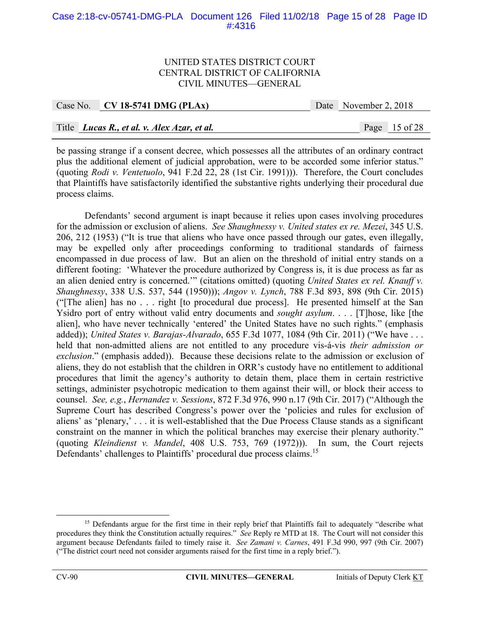## Case 2:18-cv-05741-DMG-PLA Document 126 Filed 11/02/18 Page 15 of 28 Page ID #:4316

#### UNITED STATES DISTRICT COURT CENTRAL DISTRICT OF CALIFORNIA CIVIL MINUTES—GENERAL

| Case No. CV 18-5741 DMG (PLAx)              | Date November 2, 2018 |                 |
|---------------------------------------------|-----------------------|-----------------|
|                                             |                       |                 |
| Title Lucas R., et al. v. Alex Azar, et al. |                       | Page $15$ of 28 |

be passing strange if a consent decree, which possesses all the attributes of an ordinary contract plus the additional element of judicial approbation, were to be accorded some inferior status." (quoting *Rodi v. Ventetuolo*, 941 F.2d 22, 28 (1st Cir. 1991))). Therefore, the Court concludes that Plaintiffs have satisfactorily identified the substantive rights underlying their procedural due process claims.

 Defendants' second argument is inapt because it relies upon cases involving procedures for the admission or exclusion of aliens. *See Shaughnessy v. United states ex re. Mezei*, 345 U.S. 206, 212 (1953) ("It is true that aliens who have once passed through our gates, even illegally, may be expelled only after proceedings conforming to traditional standards of fairness encompassed in due process of law. But an alien on the threshold of initial entry stands on a different footing: 'Whatever the procedure authorized by Congress is, it is due process as far as an alien denied entry is concerned.'" (citations omitted) (quoting *United States ex rel. Knauff v. Shaughnessy*, 338 U.S. 537, 544 (1950))); *Angov v. Lynch*, 788 F.3d 893, 898 (9th Cir. 2015) ("[The alien] has no . . . right [to procedural due process]. He presented himself at the San Ysidro port of entry without valid entry documents and *sought asylum*. . . . [T]hose, like [the alien], who have never technically 'entered' the United States have no such rights." (emphasis added)); *United States v. Barajas-Alvarado*, 655 F.3d 1077, 1084 (9th Cir. 2011) ("We have . . . held that non-admitted aliens are not entitled to any procedure vis-á-vis *their admission or exclusion*." (emphasis added)). Because these decisions relate to the admission or exclusion of aliens, they do not establish that the children in ORR's custody have no entitlement to additional procedures that limit the agency's authority to detain them, place them in certain restrictive settings, administer psychotropic medication to them against their will, or block their access to counsel. *See, e.g.*, *Hernandez v. Sessions*, 872 F.3d 976, 990 n.17 (9th Cir. 2017) ("Although the Supreme Court has described Congress's power over the 'policies and rules for exclusion of aliens' as 'plenary,' . . . it is well-established that the Due Process Clause stands as a significant constraint on the manner in which the political branches may exercise their plenary authority." (quoting *Kleindienst v. Mandel*, 408 U.S. 753, 769 (1972))). In sum, the Court rejects Defendants' challenges to Plaintiffs' procedural due process claims.<sup>15</sup>

<sup>&</sup>lt;sup>15</sup> Defendants argue for the first time in their reply brief that Plaintiffs fail to adequately "describe what procedures they think the Constitution actually requires." *See* Reply re MTD at 18. The Court will not consider this argument because Defendants failed to timely raise it. *See Zamani v. Carnes*, 491 F.3d 990, 997 (9th Cir. 2007) ("The district court need not consider arguments raised for the first time in a reply brief.").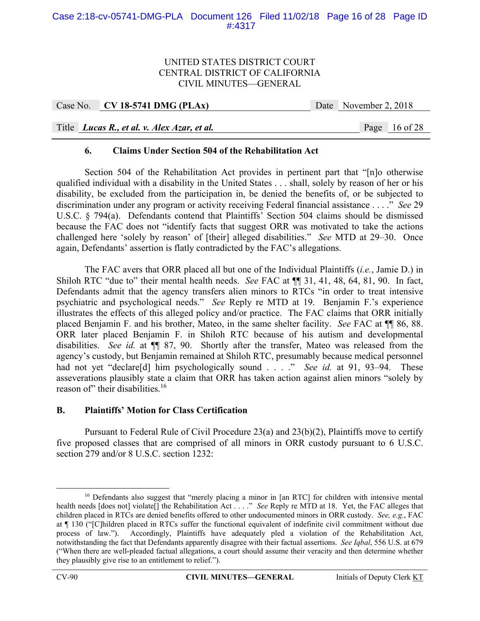## Case 2:18-cv-05741-DMG-PLA Document 126 Filed 11/02/18 Page 16 of 28 Page ID #:4317

#### UNITED STATES DISTRICT COURT CENTRAL DISTRICT OF CALIFORNIA CIVIL MINUTES—GENERAL

| Case No. CV 18-5741 DMG (PLAx)                     | Date November 2, 2018 |                 |
|----------------------------------------------------|-----------------------|-----------------|
|                                                    |                       |                 |
| Title <i>Lucas R., et al. v. Alex Azar, et al.</i> |                       | Page $16$ of 28 |

#### **6. Claims Under Section 504 of the Rehabilitation Act**

Section 504 of the Rehabilitation Act provides in pertinent part that "[n]o otherwise qualified individual with a disability in the United States . . . shall, solely by reason of her or his disability, be excluded from the participation in, be denied the benefits of, or be subjected to discrimination under any program or activity receiving Federal financial assistance . . . ." *See* 29 U.S.C. § 794(a). Defendants contend that Plaintiffs' Section 504 claims should be dismissed because the FAC does not "identify facts that suggest ORR was motivated to take the actions challenged here 'solely by reason' of [their] alleged disabilities." *See* MTD at 29–30. Once again, Defendants' assertion is flatly contradicted by the FAC's allegations.

The FAC avers that ORR placed all but one of the Individual Plaintiffs (*i.e.*, Jamie D.) in Shiloh RTC "due to" their mental health needs. *See* FAC at ¶¶ 31, 41, 48, 64, 81, 90. In fact, Defendants admit that the agency transfers alien minors to RTCs "in order to treat intensive psychiatric and psychological needs." *See* Reply re MTD at 19. Benjamin F.'s experience illustrates the effects of this alleged policy and/or practice. The FAC claims that ORR initially placed Benjamin F. and his brother, Mateo, in the same shelter facility. *See* FAC at ¶¶ 86, 88. ORR later placed Benjamin F. in Shiloh RTC because of his autism and developmental disabilities. *See id.* at ¶¶ 87, 90. Shortly after the transfer, Mateo was released from the agency's custody, but Benjamin remained at Shiloh RTC, presumably because medical personnel had not yet "declare[d] him psychologically sound . . . ." *See id.* at 91, 93–94. These asseverations plausibly state a claim that ORR has taken action against alien minors "solely by reason of" their disabilities.<sup>16</sup>

#### **B. Plaintiffs' Motion for Class Certification**

Pursuant to Federal Rule of Civil Procedure 23(a) and 23(b)(2), Plaintiffs move to certify five proposed classes that are comprised of all minors in ORR custody pursuant to 6 U.S.C. section 279 and/or 8 U.S.C. section 1232:

<sup>&</sup>lt;sup>16</sup> Defendants also suggest that "merely placing a minor in [an RTC] for children with intensive mental health needs [does not] violate[] the Rehabilitation Act . . . ." *See* Reply re MTD at 18. Yet, the FAC alleges that children placed in RTCs are denied benefits offered to other undocumented minors in ORR custody. *See, e.g.*, FAC at ¶ 130 ("[C]hildren placed in RTCs suffer the functional equivalent of indefinite civil commitment without due process of law."). Accordingly, Plaintiffs have adequately pled a violation of the Rehabilitation Act, notwithstanding the fact that Defendants apparently disagree with their factual assertions. *See Iqbal*, 556 U.S. at 679 ("When there are well-pleaded factual allegations, a court should assume their veracity and then determine whether they plausibly give rise to an entitlement to relief.").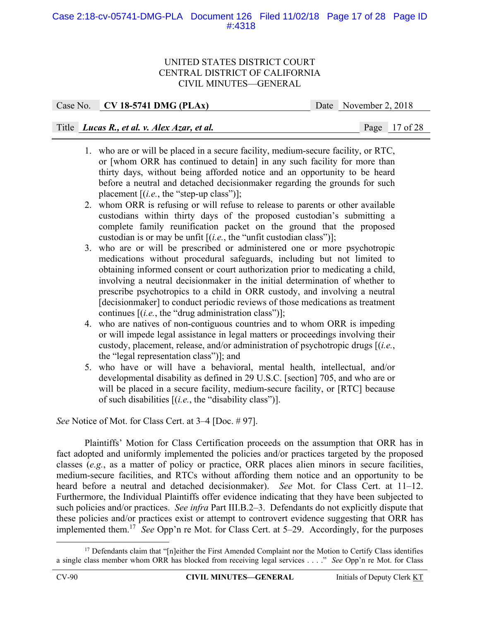## Case 2:18-cv-05741-DMG-PLA Document 126 Filed 11/02/18 Page 17 of 28 Page ID #:4318

#### UNITED STATES DISTRICT COURT CENTRAL DISTRICT OF CALIFORNIA CIVIL MINUTES—GENERAL

| Case No. CV 18-5741 DMG (PLAx) | Date | November 2, 2018 |
|--------------------------------|------|------------------|
|                                |      |                  |

# Title *Lucas R., et al. v. Alex Azar, et al.* Page 17 of 28

- 1. who are or will be placed in a secure facility, medium-secure facility, or RTC, or [whom ORR has continued to detain] in any such facility for more than thirty days, without being afforded notice and an opportunity to be heard before a neutral and detached decisionmaker regarding the grounds for such placement  $[(i.e., the "step-up class")]$ ;
- 2. whom ORR is refusing or will refuse to release to parents or other available custodians within thirty days of the proposed custodian's submitting a complete family reunification packet on the ground that the proposed custodian is or may be unfit [(*i.e.*, the "unfit custodian class")];
- 3. who are or will be prescribed or administered one or more psychotropic medications without procedural safeguards, including but not limited to obtaining informed consent or court authorization prior to medicating a child, involving a neutral decisionmaker in the initial determination of whether to prescribe psychotropics to a child in ORR custody, and involving a neutral [decisionmaker] to conduct periodic reviews of those medications as treatment continues [(*i.e.*, the "drug administration class")];
- 4. who are natives of non-contiguous countries and to whom ORR is impeding or will impede legal assistance in legal matters or proceedings involving their custody, placement, release, and/or administration of psychotropic drugs [(*i.e.*, the "legal representation class")]; and
- 5. who have or will have a behavioral, mental health, intellectual, and/or developmental disability as defined in 29 U.S.C. [section] 705, and who are or will be placed in a secure facility, medium-secure facility, or [RTC] because of such disabilities [(*i.e.*, the "disability class")].

*See* Notice of Mot. for Class Cert. at 3–4 [Doc. # 97].

 Plaintiffs' Motion for Class Certification proceeds on the assumption that ORR has in fact adopted and uniformly implemented the policies and/or practices targeted by the proposed classes (*e.g.*, as a matter of policy or practice, ORR places alien minors in secure facilities, medium-secure facilities, and RTCs without affording them notice and an opportunity to be heard before a neutral and detached decisionmaker). *See* Mot. for Class Cert. at 11–12. Furthermore, the Individual Plaintiffs offer evidence indicating that they have been subjected to such policies and/or practices. *See infra* Part III.B.2–3. Defendants do not explicitly dispute that these policies and/or practices exist or attempt to controvert evidence suggesting that ORR has implemented them.17 *See* Opp'n re Mot. for Class Cert. at 5–29. Accordingly, for the purposes

<sup>&</sup>lt;sup>17</sup> Defendants claim that "[n]either the First Amended Complaint nor the Motion to Certify Class identifies a single class member whom ORR has blocked from receiving legal services . . . ." *See* Opp'n re Mot. for Class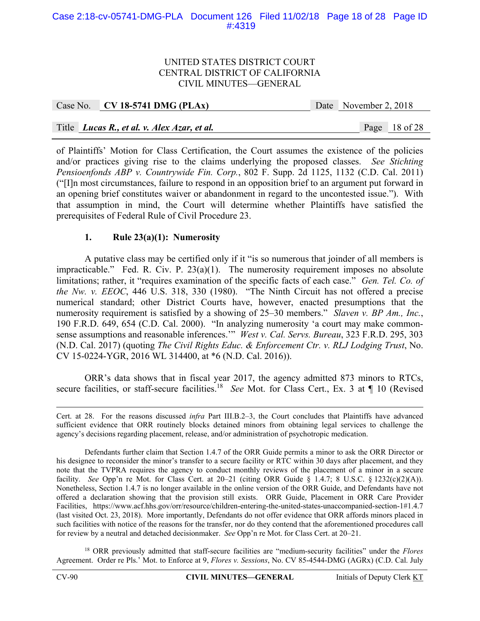## Case 2:18-cv-05741-DMG-PLA Document 126 Filed 11/02/18 Page 18 of 28 Page ID #:4319

#### UNITED STATES DISTRICT COURT CENTRAL DISTRICT OF CALIFORNIA CIVIL MINUTES—GENERAL

| Case No. CV 18-5741 DMG (PLAx)              | Date November 2, 2018 |                 |
|---------------------------------------------|-----------------------|-----------------|
|                                             |                       |                 |
| Title Lucas R., et al. v. Alex Azar, et al. |                       | Page $18$ of 28 |

of Plaintiffs' Motion for Class Certification, the Court assumes the existence of the policies and/or practices giving rise to the claims underlying the proposed classes. *See Stichting Pensioenfonds ABP v. Countrywide Fin. Corp.*, 802 F. Supp. 2d 1125, 1132 (C.D. Cal. 2011) ("[I]n most circumstances, failure to respond in an opposition brief to an argument put forward in an opening brief constitutes waiver or abandonment in regard to the uncontested issue."). With that assumption in mind, the Court will determine whether Plaintiffs have satisfied the prerequisites of Federal Rule of Civil Procedure 23.

## **1. Rule 23(a)(1): Numerosity**

A putative class may be certified only if it "is so numerous that joinder of all members is impracticable." Fed. R. Civ. P. 23(a)(1). The numerosity requirement imposes no absolute limitations; rather, it "requires examination of the specific facts of each case." *Gen. Tel. Co. of the Nw. v. EEOC*, 446 U.S. 318, 330 (1980). "The Ninth Circuit has not offered a precise numerical standard; other District Courts have, however, enacted presumptions that the numerosity requirement is satisfied by a showing of 25–30 members." *Slaven v. BP Am., Inc.*, 190 F.R.D. 649, 654 (C.D. Cal. 2000). "In analyzing numerosity 'a court may make commonsense assumptions and reasonable inferences.'" *West v. Cal. Servs. Bureau*, 323 F.R.D. 295, 303 (N.D. Cal. 2017) (quoting *The Civil Rights Educ. & Enforcement Ctr. v. RLJ Lodging Trust*, No. CV 15-0224-YGR, 2016 WL 314400, at \*6 (N.D. Cal. 2016)).

ORR's data shows that in fiscal year 2017, the agency admitted 873 minors to RTCs, secure facilities, or staff-secure facilities.<sup>18</sup> *See* Mot. for Class Cert., Ex. 3 at ¶ 10 (Revised

18 ORR previously admitted that staff-secure facilities are "medium-security facilities" under the *Flores* Agreement. Order re Pls.' Mot. to Enforce at 9, *Flores v. Sessions*, No. CV 85-4544-DMG (AGRx) (C.D. Cal. July

Cert. at 28. For the reasons discussed *infra* Part III.B.2–3, the Court concludes that Plaintiffs have advanced sufficient evidence that ORR routinely blocks detained minors from obtaining legal services to challenge the agency's decisions regarding placement, release, and/or administration of psychotropic medication.

Defendants further claim that Section 1.4.7 of the ORR Guide permits a minor to ask the ORR Director or his designee to reconsider the minor's transfer to a secure facility or RTC within 30 days after placement, and they note that the TVPRA requires the agency to conduct monthly reviews of the placement of a minor in a secure facility. *See* Opp'n re Mot. for Class Cert. at 20–21 (citing ORR Guide § 1.4.7; 8 U.S.C. § 1232(c)(2)(A)). Nonetheless, Section 1.4.7 is no longer available in the online version of the ORR Guide, and Defendants have not offered a declaration showing that the provision still exists. ORR Guide, Placement in ORR Care Provider Facilities, https://www.acf.hhs.gov/orr/resource/children-entering-the-united-states-unaccompanied-section-1#1.4.7 (last visited Oct. 23, 2018). More importantly, Defendants do not offer evidence that ORR affords minors placed in such facilities with notice of the reasons for the transfer, nor do they contend that the aforementioned procedures call for review by a neutral and detached decisionmaker. *See* Opp'n re Mot. for Class Cert. at 20–21.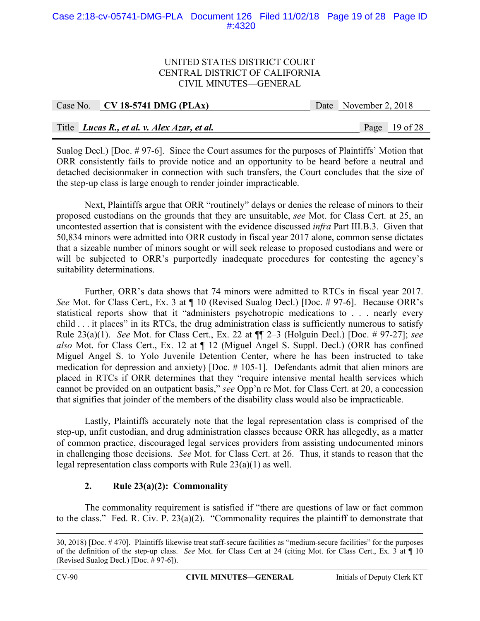## Case 2:18-cv-05741-DMG-PLA Document 126 Filed 11/02/18 Page 19 of 28 Page ID #:4320

#### UNITED STATES DISTRICT COURT CENTRAL DISTRICT OF CALIFORNIA CIVIL MINUTES—GENERAL

| Case No. CV 18-5741 DMG (PLAx)              |  | Date November 2, 2018 |                 |
|---------------------------------------------|--|-----------------------|-----------------|
|                                             |  |                       |                 |
| Title Lucas R., et al. v. Alex Azar, et al. |  |                       | Page $19$ of 28 |

Sualog Decl.) [Doc. # 97-6]. Since the Court assumes for the purposes of Plaintiffs' Motion that ORR consistently fails to provide notice and an opportunity to be heard before a neutral and detached decisionmaker in connection with such transfers, the Court concludes that the size of the step-up class is large enough to render joinder impracticable.

Next, Plaintiffs argue that ORR "routinely" delays or denies the release of minors to their proposed custodians on the grounds that they are unsuitable, *see* Mot. for Class Cert. at 25, an uncontested assertion that is consistent with the evidence discussed *infra* Part III.B.3. Given that 50,834 minors were admitted into ORR custody in fiscal year 2017 alone, common sense dictates that a sizeable number of minors sought or will seek release to proposed custodians and were or will be subjected to ORR's purportedly inadequate procedures for contesting the agency's suitability determinations.

Further, ORR's data shows that 74 minors were admitted to RTCs in fiscal year 2017. *See* Mot. for Class Cert., Ex. 3 at  $\P$  10 (Revised Sualog Decl.) [Doc. # 97-6]. Because ORR's statistical reports show that it "administers psychotropic medications to . . . nearly every child . . . it places" in its RTCs, the drug administration class is sufficiently numerous to satisfy Rule 23(a)(1). *See* Mot. for Class Cert., Ex. 22 at ¶¶ 2–3 (Holguín Decl.) [Doc. # 97-27]; *see also* Mot. for Class Cert., Ex. 12 at ¶ 12 (Miguel Angel S. Suppl. Decl.) (ORR has confined Miguel Angel S. to Yolo Juvenile Detention Center, where he has been instructed to take medication for depression and anxiety) [Doc. # 105-1]. Defendants admit that alien minors are placed in RTCs if ORR determines that they "require intensive mental health services which cannot be provided on an outpatient basis," *see* Opp'n re Mot. for Class Cert. at 20, a concession that signifies that joinder of the members of the disability class would also be impracticable.

Lastly, Plaintiffs accurately note that the legal representation class is comprised of the step-up, unfit custodian, and drug administration classes because ORR has allegedly, as a matter of common practice, discouraged legal services providers from assisting undocumented minors in challenging those decisions. *See* Mot. for Class Cert. at 26. Thus, it stands to reason that the legal representation class comports with Rule 23(a)(1) as well.

## **2. Rule 23(a)(2): Commonality**

The commonality requirement is satisfied if "there are questions of law or fact common to the class." Fed. R. Civ. P. 23(a)(2). "Commonality requires the plaintiff to demonstrate that

 <sup>30, 2018) [</sup>Doc. # 470]. Plaintiffs likewise treat staff-secure facilities as "medium-secure facilities" for the purposes of the definition of the step-up class. *See* Mot. for Class Cert at 24 (citing Mot. for Class Cert., Ex. 3 at ¶ 10 (Revised Sualog Decl.) [Doc. # 97-6]).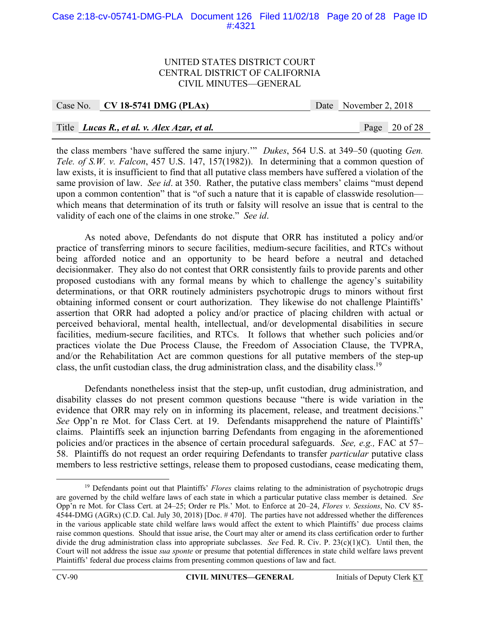## Case 2:18-cv-05741-DMG-PLA Document 126 Filed 11/02/18 Page 20 of 28 Page ID #:4321

#### UNITED STATES DISTRICT COURT CENTRAL DISTRICT OF CALIFORNIA CIVIL MINUTES—GENERAL

## Case No. **CV 18-5741 DMG (PLAx)** Date November 2, 2018

## Title *Lucas R., et al. v. Alex Azar, et al.* Page 20 of 28

the class members 'have suffered the same injury.'" *Dukes*, 564 U.S. at 349–50 (quoting *Gen. Tele. of S.W. v. Falcon*, 457 U.S. 147, 157(1982)). In determining that a common question of law exists, it is insufficient to find that all putative class members have suffered a violation of the same provision of law. *See id*. at 350. Rather, the putative class members' claims "must depend upon a common contention" that is "of such a nature that it is capable of classwide resolution which means that determination of its truth or falsity will resolve an issue that is central to the validity of each one of the claims in one stroke." *See id*.

As noted above, Defendants do not dispute that ORR has instituted a policy and/or practice of transferring minors to secure facilities, medium-secure facilities, and RTCs without being afforded notice and an opportunity to be heard before a neutral and detached decisionmaker. They also do not contest that ORR consistently fails to provide parents and other proposed custodians with any formal means by which to challenge the agency's suitability determinations, or that ORR routinely administers psychotropic drugs to minors without first obtaining informed consent or court authorization. They likewise do not challenge Plaintiffs' assertion that ORR had adopted a policy and/or practice of placing children with actual or perceived behavioral, mental health, intellectual, and/or developmental disabilities in secure facilities, medium-secure facilities, and RTCs. It follows that whether such policies and/or practices violate the Due Process Clause, the Freedom of Association Clause, the TVPRA, and/or the Rehabilitation Act are common questions for all putative members of the step-up class, the unfit custodian class, the drug administration class, and the disability class.<sup>19</sup>

Defendants nonetheless insist that the step-up, unfit custodian, drug administration, and disability classes do not present common questions because "there is wide variation in the evidence that ORR may rely on in informing its placement, release, and treatment decisions." *See* Opp'n re Mot. for Class Cert. at 19. Defendants misapprehend the nature of Plaintiffs' claims. Plaintiffs seek an injunction barring Defendants from engaging in the aforementioned policies and/or practices in the absence of certain procedural safeguards. *See, e.g.,* FAC at 57– 58. Plaintiffs do not request an order requiring Defendants to transfer *particular* putative class members to less restrictive settings, release them to proposed custodians, cease medicating them,

<sup>&</sup>lt;sup>19</sup> Defendants point out that Plaintiffs' *Flores* claims relating to the administration of psychotropic drugs are governed by the child welfare laws of each state in which a particular putative class member is detained. *See* Opp'n re Mot. for Class Cert. at 24–25; Order re Pls.' Mot. to Enforce at 20–24, *Flores v. Sessions*, No. CV 85- 4544-DMG (AGRx) (C.D. Cal. July 30, 2018) [Doc. # 470]. The parties have not addressed whether the differences in the various applicable state child welfare laws would affect the extent to which Plaintiffs' due process claims raise common questions. Should that issue arise, the Court may alter or amend its class certification order to further divide the drug administration class into appropriate subclasses. *See* Fed. R. Civ. P. 23(c)(1)(C). Until then, the Court will not address the issue *sua sponte* or presume that potential differences in state child welfare laws prevent Plaintiffs' federal due process claims from presenting common questions of law and fact.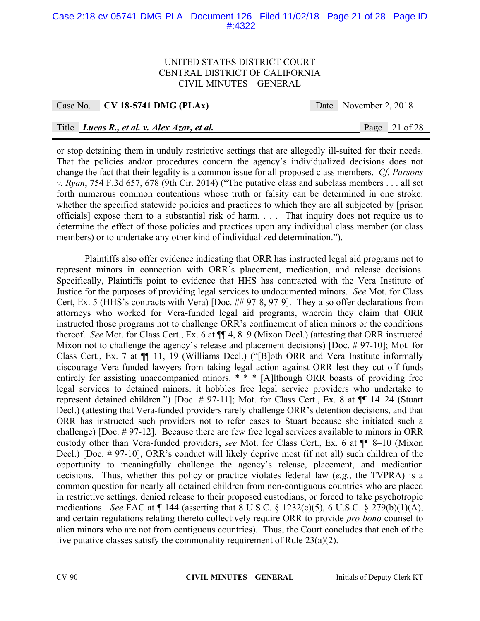## Case 2:18-cv-05741-DMG-PLA Document 126 Filed 11/02/18 Page 21 of 28 Page ID #:4322

#### UNITED STATES DISTRICT COURT CENTRAL DISTRICT OF CALIFORNIA CIVIL MINUTES—GENERAL

Case No. **CV 18-5741 DMG (PLAx)** Date November 2, 2018

## Title *Lucas R., et al. v. Alex Azar, et al.* Page 21 of 28

or stop detaining them in unduly restrictive settings that are allegedly ill-suited for their needs. That the policies and/or procedures concern the agency's individualized decisions does not change the fact that their legality is a common issue for all proposed class members. *Cf. Parsons v. Ryan*, 754 F.3d 657, 678 (9th Cir. 2014) ("The putative class and subclass members . . . all set forth numerous common contentions whose truth or falsity can be determined in one stroke: whether the specified statewide policies and practices to which they are all subjected by [prison officials] expose them to a substantial risk of harm. . . . That inquiry does not require us to determine the effect of those policies and practices upon any individual class member (or class members) or to undertake any other kind of individualized determination.").

Plaintiffs also offer evidence indicating that ORR has instructed legal aid programs not to represent minors in connection with ORR's placement, medication, and release decisions. Specifically, Plaintiffs point to evidence that HHS has contracted with the Vera Institute of Justice for the purposes of providing legal services to undocumented minors. *See* Mot. for Class Cert, Ex. 5 (HHS's contracts with Vera) [Doc. ## 97-8, 97-9]. They also offer declarations from attorneys who worked for Vera-funded legal aid programs, wherein they claim that ORR instructed those programs not to challenge ORR's confinement of alien minors or the conditions thereof. *See* Mot. for Class Cert., Ex. 6 at ¶¶ 4, 8–9 (Mixon Decl.) (attesting that ORR instructed Mixon not to challenge the agency's release and placement decisions) [Doc. # 97-10]; Mot. for Class Cert., Ex. 7 at ¶¶ 11, 19 (Williams Decl.) ("[B]oth ORR and Vera Institute informally discourage Vera-funded lawyers from taking legal action against ORR lest they cut off funds entirely for assisting unaccompanied minors. \* \* \* [A]lthough ORR boasts of providing free legal services to detained minors, it hobbles free legal service providers who undertake to represent detained children.") [Doc. # 97-11]; Mot. for Class Cert., Ex. 8 at ¶¶ 14–24 (Stuart Decl.) (attesting that Vera-funded providers rarely challenge ORR's detention decisions, and that ORR has instructed such providers not to refer cases to Stuart because she initiated such a challenge) [Doc. # 97-12]. Because there are few free legal services available to minors in ORR custody other than Vera-funded providers, *see* Mot. for Class Cert., Ex. 6 at ¶¶ 8–10 (Mixon Decl.) [Doc. # 97-10], ORR's conduct will likely deprive most (if not all) such children of the opportunity to meaningfully challenge the agency's release, placement, and medication decisions. Thus, whether this policy or practice violates federal law (*e.g.*, the TVPRA) is a common question for nearly all detained children from non-contiguous countries who are placed in restrictive settings, denied release to their proposed custodians, or forced to take psychotropic medications. *See* FAC at ¶ 144 (asserting that 8 U.S.C. § 1232(c)(5), 6 U.S.C. § 279(b)(1)(A), and certain regulations relating thereto collectively require ORR to provide *pro bono* counsel to alien minors who are not from contiguous countries). Thus, the Court concludes that each of the five putative classes satisfy the commonality requirement of Rule 23(a)(2).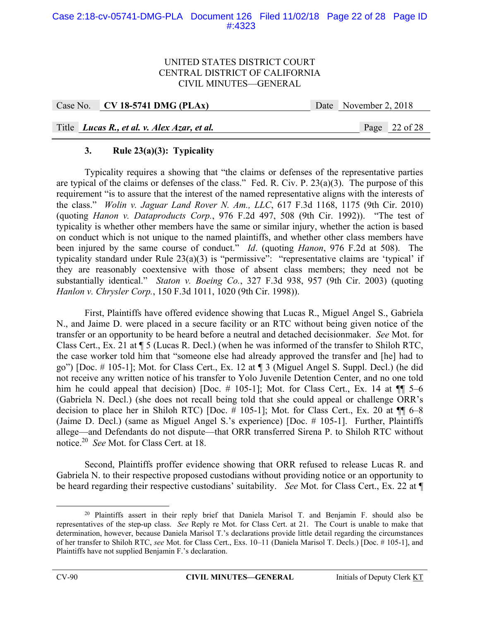## Case 2:18-cv-05741-DMG-PLA Document 126 Filed 11/02/18 Page 22 of 28 Page ID #:4323

#### UNITED STATES DISTRICT COURT CENTRAL DISTRICT OF CALIFORNIA CIVIL MINUTES—GENERAL

Case No. **CV 18-5741 DMG (PLAx)** Date November 2, 2018

Title *Lucas R., et al. v. Alex Azar, et al.* Page 22 of 28

## **3. Rule 23(a)(3): Typicality**

Typicality requires a showing that "the claims or defenses of the representative parties are typical of the claims or defenses of the class." Fed. R. Civ. P. 23(a)(3). The purpose of this requirement "is to assure that the interest of the named representative aligns with the interests of the class." *Wolin v. Jaguar Land Rover N. Am., LLC*, 617 F.3d 1168, 1175 (9th Cir. 2010) (quoting *Hanon v. Dataproducts Corp.*, 976 F.2d 497, 508 (9th Cir. 1992)). "The test of typicality is whether other members have the same or similar injury, whether the action is based on conduct which is not unique to the named plaintiffs, and whether other class members have been injured by the same course of conduct." *Id*. (quoting *Hanon*, 976 F.2d at 508). The typicality standard under Rule 23(a)(3) is "permissive": "representative claims are 'typical' if they are reasonably coextensive with those of absent class members; they need not be substantially identical." *Staton v. Boeing Co.*, 327 F.3d 938, 957 (9th Cir. 2003) (quoting *Hanlon v. Chrysler Corp.*, 150 F.3d 1011, 1020 (9th Cir. 1998)).

First, Plaintiffs have offered evidence showing that Lucas R., Miguel Angel S., Gabriela N., and Jaime D. were placed in a secure facility or an RTC without being given notice of the transfer or an opportunity to be heard before a neutral and detached decisionmaker. *See* Mot. for Class Cert., Ex. 21 at ¶ 5 (Lucas R. Decl.) (when he was informed of the transfer to Shiloh RTC, the case worker told him that "someone else had already approved the transfer and [he] had to go") [Doc. # 105-1]; Mot. for Class Cert., Ex. 12 at ¶ 3 (Miguel Angel S. Suppl. Decl.) (he did not receive any written notice of his transfer to Yolo Juvenile Detention Center, and no one told him he could appeal that decision) [Doc.  $\#$  105-1]; Mot. for Class Cert., Ex. 14 at  $\P\P$  5–6 (Gabriela N. Decl.) (she does not recall being told that she could appeal or challenge ORR's decision to place her in Shiloh RTC) [Doc.  $\#$  105-1]; Mot. for Class Cert., Ex. 20 at  $\P\P$  6–8 (Jaime D. Decl.) (same as Miguel Angel S.'s experience) [Doc. # 105-1]. Further, Plaintiffs allege—and Defendants do not dispute—that ORR transferred Sirena P. to Shiloh RTC without notice.20 *See* Mot. for Class Cert. at 18.

 Second, Plaintiffs proffer evidence showing that ORR refused to release Lucas R. and Gabriela N. to their respective proposed custodians without providing notice or an opportunity to be heard regarding their respective custodians' suitability. *See* Mot. for Class Cert., Ex. 22 at ¶

<sup>&</sup>lt;sup>20</sup> Plaintiffs assert in their reply brief that Daniela Marisol T. and Benjamin F. should also be representatives of the step-up class. *See* Reply re Mot. for Class Cert. at 21. The Court is unable to make that determination, however, because Daniela Marisol T.'s declarations provide little detail regarding the circumstances of her transfer to Shiloh RTC, *see* Mot. for Class Cert., Exs. 10–11 (Daniela Marisol T. Decls.) [Doc. # 105-1], and Plaintiffs have not supplied Benjamin F.'s declaration.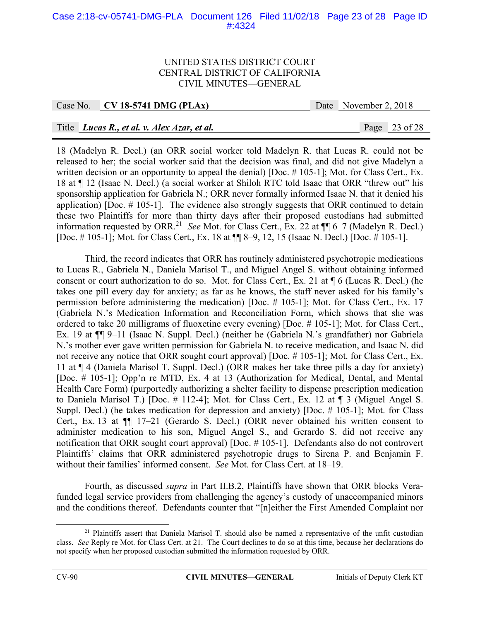## Case 2:18-cv-05741-DMG-PLA Document 126 Filed 11/02/18 Page 23 of 28 Page ID #:4324

#### UNITED STATES DISTRICT COURT CENTRAL DISTRICT OF CALIFORNIA CIVIL MINUTES—GENERAL

Case No. **CV 18-5741 DMG (PLAx)** Date November 2, 2018

## Title *Lucas R., et al. v. Alex Azar, et al.* Page 23 of 28

18 (Madelyn R. Decl.) (an ORR social worker told Madelyn R. that Lucas R. could not be released to her; the social worker said that the decision was final, and did not give Madelyn a written decision or an opportunity to appeal the denial) [Doc. # 105-1]; Mot. for Class Cert., Ex. 18 at ¶ 12 (Isaac N. Decl.) (a social worker at Shiloh RTC told Isaac that ORR "threw out" his sponsorship application for Gabriela N.; ORR never formally informed Isaac N. that it denied his application) [Doc.  $\#$  105-1]. The evidence also strongly suggests that ORR continued to detain these two Plaintiffs for more than thirty days after their proposed custodians had submitted information requested by ORR.21 *See* Mot. for Class Cert., Ex. 22 at ¶¶ 6–7 (Madelyn R. Decl.) [Doc. # 105-1]; Mot. for Class Cert., Ex. 18 at ¶¶ 8–9, 12, 15 (Isaac N. Decl.) [Doc. # 105-1].

 Third, the record indicates that ORR has routinely administered psychotropic medications to Lucas R., Gabriela N., Daniela Marisol T., and Miguel Angel S. without obtaining informed consent or court authorization to do so. Mot. for Class Cert., Ex. 21 at ¶ 6 (Lucas R. Decl.) (he takes one pill every day for anxiety; as far as he knows, the staff never asked for his family's permission before administering the medication) [Doc. # 105-1]; Mot. for Class Cert., Ex. 17 (Gabriela N.'s Medication Information and Reconciliation Form, which shows that she was ordered to take 20 milligrams of fluoxetine every evening) [Doc. # 105-1]; Mot. for Class Cert., Ex. 19 at ¶¶ 9–11 (Isaac N. Suppl. Decl.) (neither he (Gabriela N.'s grandfather) nor Gabriela N.'s mother ever gave written permission for Gabriela N. to receive medication, and Isaac N. did not receive any notice that ORR sought court approval) [Doc. # 105-1]; Mot. for Class Cert., Ex. 11 at ¶ 4 (Daniela Marisol T. Suppl. Decl.) (ORR makes her take three pills a day for anxiety) [Doc. # 105-1]; Opp'n re MTD, Ex. 4 at 13 (Authorization for Medical, Dental, and Mental Health Care Form) (purportedly authorizing a shelter facility to dispense prescription medication to Daniela Marisol T.) [Doc. # 112-4]; Mot. for Class Cert., Ex. 12 at ¶ 3 (Miguel Angel S. Suppl. Decl.) (he takes medication for depression and anxiety) [Doc. # 105-1]; Mot. for Class Cert., Ex. 13 at ¶¶ 17–21 (Gerardo S. Decl.) (ORR never obtained his written consent to administer medication to his son, Miguel Angel S., and Gerardo S. did not receive any notification that ORR sought court approval) [Doc. # 105-1]. Defendants also do not controvert Plaintiffs' claims that ORR administered psychotropic drugs to Sirena P. and Benjamin F. without their families' informed consent. *See* Mot. for Class Cert. at 18–19.

 Fourth, as discussed *supra* in Part II.B.2, Plaintiffs have shown that ORR blocks Verafunded legal service providers from challenging the agency's custody of unaccompanied minors and the conditions thereof. Defendants counter that "[n]either the First Amended Complaint nor

<sup>&</sup>lt;sup>21</sup> Plaintiffs assert that Daniela Marisol T. should also be named a representative of the unfit custodian class. *See* Reply re Mot. for Class Cert. at 21. The Court declines to do so at this time, because her declarations do not specify when her proposed custodian submitted the information requested by ORR.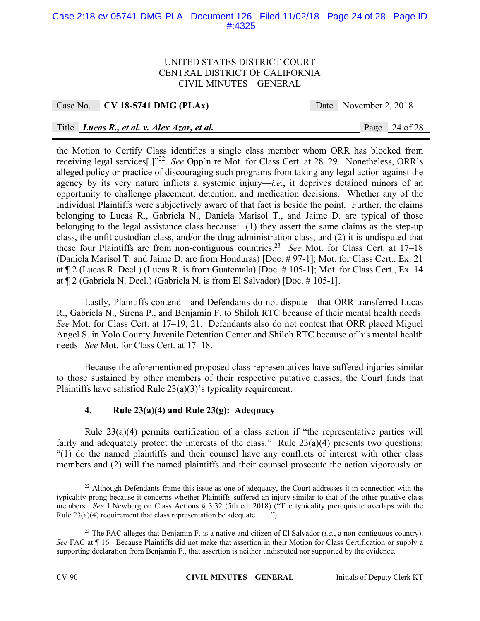## Case 2:18-cv-05741-DMG-PLA Document 126 Filed 11/02/18 Page 24 of 28 Page ID #:4325

#### UNITED STATES DISTRICT COURT CENTRAL DISTRICT OF CALIFORNIA CIVIL MINUTES—GENERAL

## Case No. **CV 18-5741 DMG (PLAx)** Date November 2, 2018

## Title *Lucas R., et al. v. Alex Azar, et al.* Page 24 of 28

the Motion to Certify Class identifies a single class member whom ORR has blocked from receiving legal services[.]"22 *See* Opp'n re Mot. for Class Cert. at 28–29. Nonetheless, ORR's alleged policy or practice of discouraging such programs from taking any legal action against the agency by its very nature inflicts a systemic injury—*i.e.*, it deprives detained minors of an opportunity to challenge placement, detention, and medication decisions. Whether any of the Individual Plaintiffs were subjectively aware of that fact is beside the point. Further, the claims belonging to Lucas R., Gabriela N., Daniela Marisol T., and Jaime D. are typical of those belonging to the legal assistance class because: (1) they assert the same claims as the step-up class, the unfit custodian class, and/or the drug administration class; and (2) it is undisputed that these four Plaintiffs are from non-contiguous countries.<sup>23</sup> *See* Mot. for Class Cert. at 17–18 (Daniela Marisol T. and Jaime D. are from Honduras) [Doc. # 97-1]; Mot. for Class Cert.. Ex. 21 at ¶ 2 (Lucas R. Decl.) (Lucas R. is from Guatemala) [Doc. # 105-1]; Mot. for Class Cert., Ex. 14 at ¶ 2 (Gabriela N. Decl.) (Gabriela N. is from El Salvador) [Doc. # 105-1].

 Lastly, Plaintiffs contend—and Defendants do not dispute—that ORR transferred Lucas R., Gabriela N., Sirena P., and Benjamin F. to Shiloh RTC because of their mental health needs. *See* Mot. for Class Cert. at 17–19, 21. Defendants also do not contest that ORR placed Miguel Angel S. in Yolo County Juvenile Detention Center and Shiloh RTC because of his mental health needs. *See* Mot. for Class Cert. at 17–18.

 Because the aforementioned proposed class representatives have suffered injuries similar to those sustained by other members of their respective putative classes, the Court finds that Plaintiffs have satisfied Rule 23(a)(3)'s typicality requirement.

## **4. Rule 23(a)(4) and Rule 23(g): Adequacy**

 Rule 23(a)(4) permits certification of a class action if "the representative parties will fairly and adequately protect the interests of the class." Rule  $23(a)(4)$  presents two questions: "(1) do the named plaintiffs and their counsel have any conflicts of interest with other class members and (2) will the named plaintiffs and their counsel prosecute the action vigorously on

<sup>&</sup>lt;sup>22</sup> Although Defendants frame this issue as one of adequacy, the Court addresses it in connection with the typicality prong because it concerns whether Plaintiffs suffered an injury similar to that of the other putative class members. *See* 1 Newberg on Class Actions § 3:32 (5th ed. 2018) ("The typicality prerequisite overlaps with the Rule  $23(a)(4)$  requirement that class representation be adequate . . . .").

<sup>&</sup>lt;sup>23</sup> The FAC alleges that Benjamin F. is a native and citizen of El Salvador *(i.e.*, a non-contiguous country). *See* FAC at ¶ 16. Because Plaintiffs did not make that assertion in their Motion for Class Certification or supply a supporting declaration from Benjamin F., that assertion is neither undisputed nor supported by the evidence.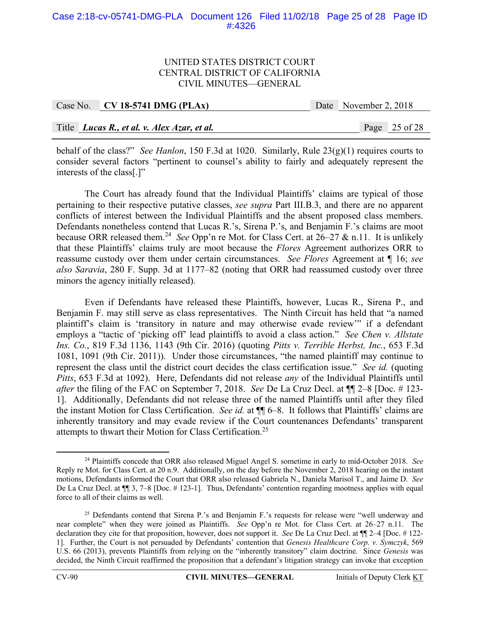#### Case 2:18-cv-05741-DMG-PLA Document 126 Filed 11/02/18 Page 25 of 28 Page ID #:4326

#### UNITED STATES DISTRICT COURT CENTRAL DISTRICT OF CALIFORNIA CIVIL MINUTES—GENERAL

| Case No. $\vert$ CV 18-5741 DMG (PLAx)      |  | Date November 2, 2018 |                 |
|---------------------------------------------|--|-----------------------|-----------------|
|                                             |  |                       |                 |
| Title Lucas R., et al. v. Alex Azar, et al. |  |                       | Page $25$ of 28 |

behalf of the class?" *See Hanlon*, 150 F.3d at 1020. Similarly, Rule 23(g)(1) requires courts to consider several factors "pertinent to counsel's ability to fairly and adequately represent the interests of the class[.]"

 The Court has already found that the Individual Plaintiffs' claims are typical of those pertaining to their respective putative classes, *see supra* Part III.B.3, and there are no apparent conflicts of interest between the Individual Plaintiffs and the absent proposed class members. Defendants nonetheless contend that Lucas R.'s, Sirena P.'s, and Benjamin F.'s claims are moot because ORR released them.24 *See* Opp'n re Mot. for Class Cert. at 26–27 & n.11. It is unlikely that these Plaintiffs' claims truly are moot because the *Flores* Agreement authorizes ORR to reassume custody over them under certain circumstances. *See Flores* Agreement at ¶ 16; *see also Saravia*, 280 F. Supp. 3d at 1177–82 (noting that ORR had reassumed custody over three minors the agency initially released).

Even if Defendants have released these Plaintiffs, however, Lucas R., Sirena P., and Benjamin F. may still serve as class representatives. The Ninth Circuit has held that "a named plaintiff's claim is 'transitory in nature and may otherwise evade review'" if a defendant employs a "tactic of 'picking off' lead plaintiffs to avoid a class action." *See Chen v. Allstate Ins. Co.*, 819 F.3d 1136, 1143 (9th Cir. 2016) (quoting *Pitts v. Terrible Herbst, Inc.*, 653 F.3d 1081, 1091 (9th Cir. 2011)). Under those circumstances, "the named plaintiff may continue to represent the class until the district court decides the class certification issue." *See id.* (quoting *Pitts*, 653 F.3d at 1092). Here, Defendants did not release *any* of the Individual Plaintiffs until *after* the filing of the FAC on September 7, 2018. *See* De La Cruz Decl. at ¶¶ 2–8 [Doc. # 123- 1]. Additionally, Defendants did not release three of the named Plaintiffs until after they filed the instant Motion for Class Certification. *See id.* at ¶¶ 6–8. It follows that Plaintiffs' claims are inherently transitory and may evade review if the Court countenances Defendants' transparent attempts to thwart their Motion for Class Certification.25

 <sup>24</sup> Plaintiffs concede that ORR also released Miguel Angel S. sometime in early to mid-October 2018. *See* Reply re Mot. for Class Cert. at 20 n.9. Additionally, on the day before the November 2, 2018 hearing on the instant motions, Defendants informed the Court that ORR also released Gabriela N., Daniela Marisol T., and Jaime D. *See* De La Cruz Decl. at  $\P$  3, 7–8 [Doc. #123-1]. Thus, Defendants' contention regarding mootness applies with equal force to all of their claims as well.

<sup>&</sup>lt;sup>25</sup> Defendants contend that Sirena P.'s and Benjamin F.'s requests for release were "well underway and near complete" when they were joined as Plaintiffs. *See* Opp'n re Mot. for Class Cert. at 26–27 n.11. The declaration they cite for that proposition, however, does not support it. *See* De La Cruz Decl. at ¶¶ 2–4 [Doc. # 122- 1]. Further, the Court is not persuaded by Defendants' contention that *Genesis Healthcare Corp. v. Symczyk*, 569 U.S. 66 (2013), prevents Plaintiffs from relying on the "inherently transitory" claim doctrine. Since *Genesis* was decided, the Ninth Circuit reaffirmed the proposition that a defendant's litigation strategy can invoke that exception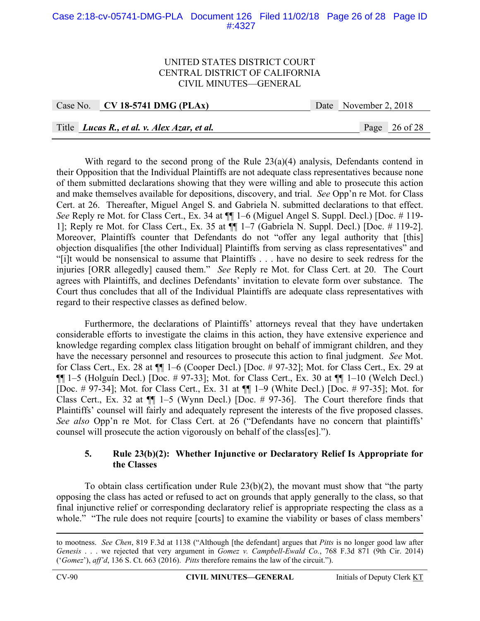## Case 2:18-cv-05741-DMG-PLA Document 126 Filed 11/02/18 Page 26 of 28 Page ID #:4327

#### UNITED STATES DISTRICT COURT CENTRAL DISTRICT OF CALIFORNIA CIVIL MINUTES—GENERAL

|  | Case No. CV 18-5741 DMG (PLAx)                     |  | Date November 2, 2018 |                 |
|--|----------------------------------------------------|--|-----------------------|-----------------|
|  |                                                    |  |                       |                 |
|  | Title <i>Lucas R., et al. v. Alex Azar, et al.</i> |  |                       | Page $26$ of 28 |

With regard to the second prong of the Rule  $23(a)(4)$  analysis, Defendants contend in their Opposition that the Individual Plaintiffs are not adequate class representatives because none of them submitted declarations showing that they were willing and able to prosecute this action and make themselves available for depositions, discovery, and trial. *See* Opp'n re Mot. for Class Cert. at 26. Thereafter, Miguel Angel S. and Gabriela N. submitted declarations to that effect. *See* Reply re Mot. for Class Cert., Ex. 34 at ¶¶ 1–6 (Miguel Angel S. Suppl. Decl.) [Doc. # 119- 1]; Reply re Mot. for Class Cert., Ex. 35 at ¶¶ 1–7 (Gabriela N. Suppl. Decl.) [Doc. # 119-2]. Moreover, Plaintiffs counter that Defendants do not "offer any legal authority that [this] objection disqualifies [the other Individual] Plaintiffs from serving as class representatives" and "[i]t would be nonsensical to assume that Plaintiffs . . . have no desire to seek redress for the injuries [ORR allegedly] caused them." *See* Reply re Mot. for Class Cert. at 20. The Court agrees with Plaintiffs, and declines Defendants' invitation to elevate form over substance. The Court thus concludes that all of the Individual Plaintiffs are adequate class representatives with regard to their respective classes as defined below.

 Furthermore, the declarations of Plaintiffs' attorneys reveal that they have undertaken considerable efforts to investigate the claims in this action, they have extensive experience and knowledge regarding complex class litigation brought on behalf of immigrant children, and they have the necessary personnel and resources to prosecute this action to final judgment. *See* Mot. for Class Cert., Ex. 28 at ¶¶ 1–6 (Cooper Decl.) [Doc. # 97-32]; Mot. for Class Cert., Ex. 29 at  $\P\P$  1–5 (Holguín Decl.) [Doc. # 97-33]; Mot. for Class Cert., Ex. 30 at  $\P\P$  1–10 (Welch Decl.) [Doc. # 97-34]; Mot. for Class Cert., Ex. 31 at ¶¶ 1–9 (White Decl.) [Doc. # 97-35]; Mot. for Class Cert., Ex. 32 at ¶¶ 1–5 (Wynn Decl.) [Doc. # 97-36]. The Court therefore finds that Plaintiffs' counsel will fairly and adequately represent the interests of the five proposed classes. *See also* Opp'n re Mot. for Class Cert. at 26 ("Defendants have no concern that plaintiffs' counsel will prosecute the action vigorously on behalf of the class[es].").

#### **5. Rule 23(b)(2): Whether Injunctive or Declaratory Relief Is Appropriate for the Classes**

To obtain class certification under Rule  $23(b)(2)$ , the movant must show that "the party" opposing the class has acted or refused to act on grounds that apply generally to the class, so that final injunctive relief or corresponding declaratory relief is appropriate respecting the class as a whole." "The rule does not require [courts] to examine the viability or bases of class members'

to mootness. *See Chen*, 819 F.3d at 1138 ("Although [the defendant] argues that *Pitts* is no longer good law after *Genesis* . . . we rejected that very argument in *Gomez v. Campbell-Ewald Co.*, 768 F.3d 871 (9th Cir. 2014) ('*Gomez*'), *aff'd*, 136 S. Ct. 663 (2016). *Pitts* therefore remains the law of the circuit.").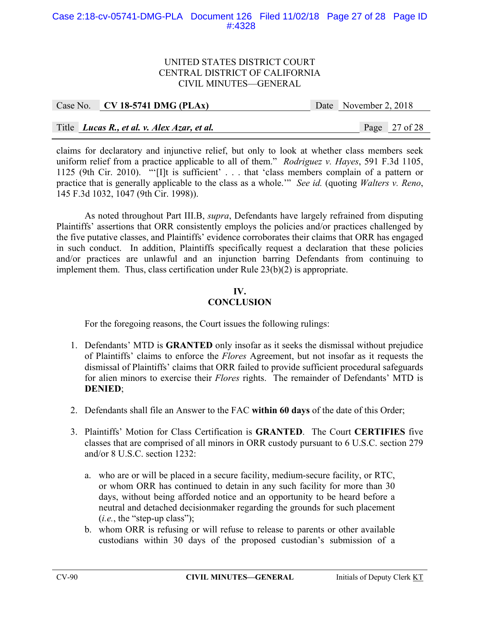## Case 2:18-cv-05741-DMG-PLA Document 126 Filed 11/02/18 Page 27 of 28 Page ID #:4328

#### UNITED STATES DISTRICT COURT CENTRAL DISTRICT OF CALIFORNIA CIVIL MINUTES—GENERAL

| Case No. CV 18-5741 DMG (PLAx)              | Date November 2, 2018 |                 |
|---------------------------------------------|-----------------------|-----------------|
|                                             |                       |                 |
| Title Lucas R., et al. v. Alex Azar, et al. |                       | Page $27$ of 28 |

claims for declaratory and injunctive relief, but only to look at whether class members seek uniform relief from a practice applicable to all of them." *Rodriguez v. Hayes*, 591 F.3d 1105, 1125 (9th Cir. 2010). "'[I]t is sufficient' . . . that 'class members complain of a pattern or practice that is generally applicable to the class as a whole.'" *See id.* (quoting *Walters v. Reno*, 145 F.3d 1032, 1047 (9th Cir. 1998)).

As noted throughout Part III.B, *supra*, Defendants have largely refrained from disputing Plaintiffs' assertions that ORR consistently employs the policies and/or practices challenged by the five putative classes, and Plaintiffs' evidence corroborates their claims that ORR has engaged in such conduct. In addition, Plaintiffs specifically request a declaration that these policies and/or practices are unlawful and an injunction barring Defendants from continuing to implement them. Thus, class certification under Rule 23(b)(2) is appropriate.

# **IV.**

# **CONCLUSION**

For the foregoing reasons, the Court issues the following rulings:

- 1. Defendants' MTD is **GRANTED** only insofar as it seeks the dismissal without prejudice of Plaintiffs' claims to enforce the *Flores* Agreement, but not insofar as it requests the dismissal of Plaintiffs' claims that ORR failed to provide sufficient procedural safeguards for alien minors to exercise their *Flores* rights. The remainder of Defendants' MTD is **DENIED**;
- 2. Defendants shall file an Answer to the FAC **within 60 days** of the date of this Order;
- 3. Plaintiffs' Motion for Class Certification is **GRANTED**. The Court **CERTIFIES** five classes that are comprised of all minors in ORR custody pursuant to 6 U.S.C. section 279 and/or 8 U.S.C. section 1232:
	- a. who are or will be placed in a secure facility, medium-secure facility, or RTC, or whom ORR has continued to detain in any such facility for more than 30 days, without being afforded notice and an opportunity to be heard before a neutral and detached decisionmaker regarding the grounds for such placement (*i.e.*, the "step-up class");
	- b. whom ORR is refusing or will refuse to release to parents or other available custodians within 30 days of the proposed custodian's submission of a